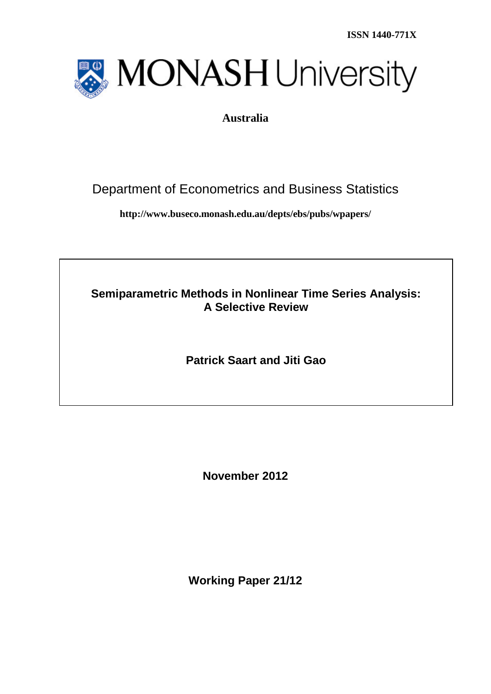**ISSN 1440-771X**



## **Australia**

# Department of Econometrics and Business Statistics

**http://www.buseco.monash.edu.au/depts/ebs/pubs/wpapers/**

**Semiparametric Methods in Nonlinear Time Series Analysis: A Selective Review**

**Patrick Saart and Jiti Gao**

**November 2012**

**Working Paper 21/12**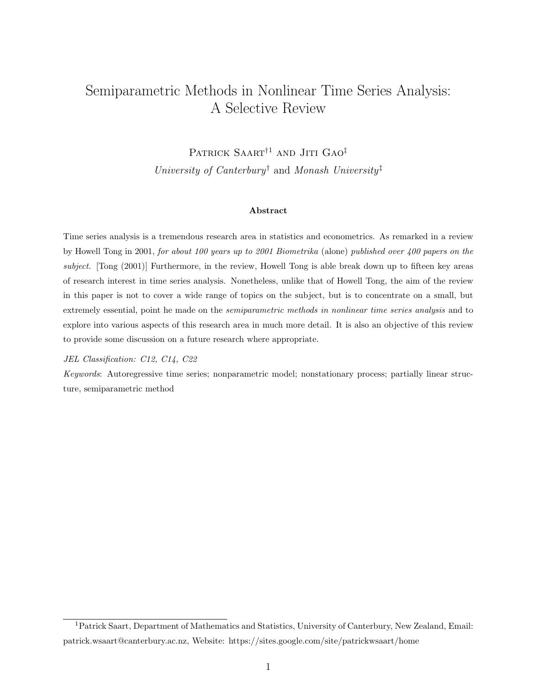## Semiparametric Methods in Nonlinear Time Series Analysis: A Selective Review

PATRICK SAART<sup>†1</sup> AND JITI GAO<sup>‡</sup> University of Canterbury<sup>†</sup> and Monash University<sup>‡</sup>

#### Abstract

Time series analysis is a tremendous research area in statistics and econometrics. As remarked in a review by Howell Tong in 2001, for about 100 years up to 2001 Biometrika (alone) published over 400 papers on the subject. [Tong (2001)] Furthermore, in the review, Howell Tong is able break down up to fifteen key areas of research interest in time series analysis. Nonetheless, unlike that of Howell Tong, the aim of the review in this paper is not to cover a wide range of topics on the subject, but is to concentrate on a small, but extremely essential, point he made on the *semiparametric methods in nonlinear time series analysis* and to explore into various aspects of this research area in much more detail. It is also an objective of this review to provide some discussion on a future research where appropriate.

#### JEL Classification: C12, C14, C22

Keywords: Autoregressive time series; nonparametric model; nonstationary process; partially linear structure, semiparametric method

<sup>1</sup>Patrick Saart, Department of Mathematics and Statistics, University of Canterbury, New Zealand, Email: patrick.wsaart@canterbury.ac.nz, Website: https://sites.google.com/site/patrickwsaart/home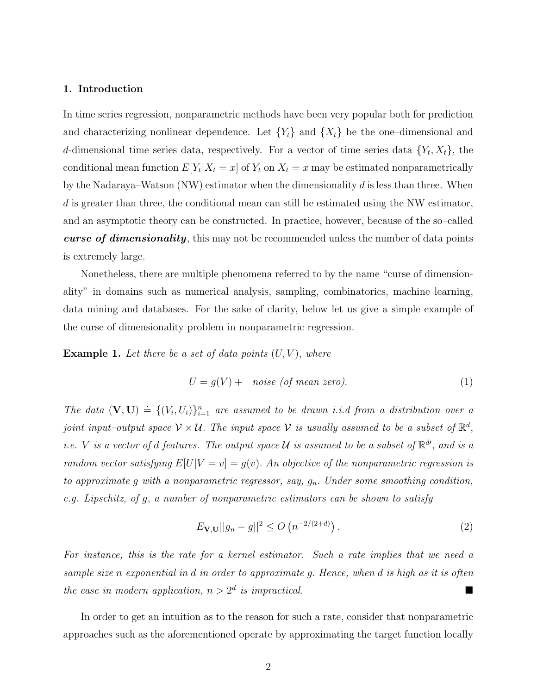## 1. Introduction

In time series regression, nonparametric methods have been very popular both for prediction and characterizing nonlinear dependence. Let  ${Y_t}$  and  ${X_t}$  be the one-dimensional and d-dimensional time series data, respectively. For a vector of time series data  $\{Y_t, X_t\}$ , the conditional mean function  $E[Y_t|X_t=x]$  of  $Y_t$  on  $X_t=x$  may be estimated nonparametrically by the Nadaraya–Watson  $(NW)$  estimator when the dimensionality d is less than three. When d is greater than three, the conditional mean can still be estimated using the NW estimator, and an asymptotic theory can be constructed. In practice, however, because of the so–called curse of dimensionality, this may not be recommended unless the number of data points is extremely large.

Nonetheless, there are multiple phenomena referred to by the name "curse of dimensionality" in domains such as numerical analysis, sampling, combinatorics, machine learning, data mining and databases. For the sake of clarity, below let us give a simple example of the curse of dimensionality problem in nonparametric regression.

**Example 1.** Let there be a set of data points  $(U, V)$ , where

$$
U = g(V) + \text{ noise (of mean zero).} \tag{1}
$$

The data  $(\mathbf{V}, \mathbf{U}) \doteq \{(V_i, U_i)\}_{i=1}^n$  are assumed to be drawn *i.i.d from a distribution over a* joint input–output space  $\mathcal{V} \times \mathcal{U}$ . The input space  $\mathcal{V}$  is usually assumed to be a subset of  $\mathbb{R}^d$ , i.e. V is a vector of d features. The output space U is assumed to be a subset of  $\mathbb{R}^{d}$ , and is a random vector satisfying  $E[U|V = v] = g(v)$ . An objective of the nonparametric regression is to approximate  $g$  with a nonparametric regressor, say,  $g_n$ . Under some smoothing condition, e.g. Lipschitz, of g, a number of nonparametric estimators can be shown to satisfy

$$
E_{\mathbf{V},\mathbf{U}}||g_n - g||^2 \le O\left(n^{-2/(2+d)}\right).
$$
 (2)

For instance, this is the rate for a kernel estimator. Such a rate implies that we need a sample size n exponential in d in order to approximate g. Hence, when d is high as it is often the case in modern application,  $n > 2^d$  is impractical.

In order to get an intuition as to the reason for such a rate, consider that nonparametric approaches such as the aforementioned operate by approximating the target function locally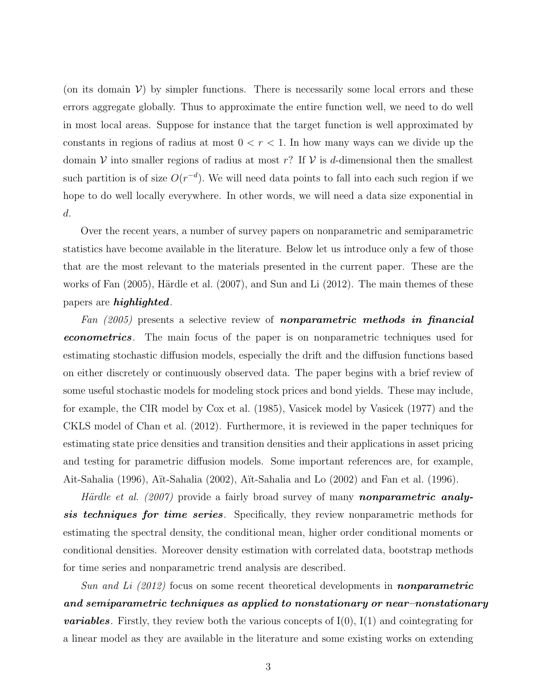(on its domain  $V$ ) by simpler functions. There is necessarily some local errors and these errors aggregate globally. Thus to approximate the entire function well, we need to do well in most local areas. Suppose for instance that the target function is well approximated by constants in regions of radius at most  $0 < r < 1$ . In how many ways can we divide up the domain V into smaller regions of radius at most r? If V is d-dimensional then the smallest such partition is of size  $O(r^{-d})$ . We will need data points to fall into each such region if we hope to do well locally everywhere. In other words, we will need a data size exponential in d.

Over the recent years, a number of survey papers on nonparametric and semiparametric statistics have become available in the literature. Below let us introduce only a few of those that are the most relevant to the materials presented in the current paper. These are the works of Fan  $(2005)$ , Härdle et al.  $(2007)$ , and Sun and Li  $(2012)$ . The main themes of these papers are highlighted.

Fan (2005) presents a selective review of **nonparametric methods in financial** econometrics. The main focus of the paper is on nonparametric techniques used for estimating stochastic diffusion models, especially the drift and the diffusion functions based on either discretely or continuously observed data. The paper begins with a brief review of some useful stochastic models for modeling stock prices and bond yields. These may include, for example, the CIR model by Cox et al. (1985), Vasicek model by Vasicek (1977) and the CKLS model of Chan et al. (2012). Furthermore, it is reviewed in the paper techniques for estimating state price densities and transition densities and their applications in asset pricing and testing for parametric diffusion models. Some important references are, for example, Ait-Sahalia (1996), A¨ıt-Sahalia (2002), A¨ıt-Sahalia and Lo (2002) and Fan et al. (1996).

*Härdle et al.* (2007) provide a fairly broad survey of many **nonparametric analy**sis techniques for time series. Specifically, they review nonparametric methods for estimating the spectral density, the conditional mean, higher order conditional moments or conditional densities. Moreover density estimation with correlated data, bootstrap methods for time series and nonparametric trend analysis are described.

Sun and Li  $(2012)$  focus on some recent theoretical developments in **nonparametric** and semiparametric techniques as applied to nonstationary or near–nonstationary **variables**. Firstly, they review both the various concepts of  $I(0)$ ,  $I(1)$  and cointegrating for a linear model as they are available in the literature and some existing works on extending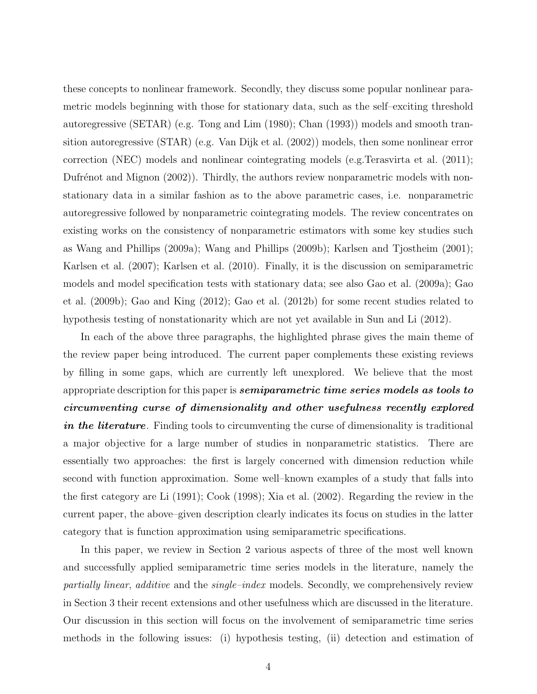these concepts to nonlinear framework. Secondly, they discuss some popular nonlinear parametric models beginning with those for stationary data, such as the self–exciting threshold autoregressive (SETAR) (e.g. Tong and Lim (1980); Chan (1993)) models and smooth transition autoregressive (STAR) (e.g. Van Dijk et al. (2002)) models, then some nonlinear error correction (NEC) models and nonlinear cointegrating models (e.g.Terasvirta et al. (2011); Dufrénot and Mignon (2002)). Thirdly, the authors review nonparametric models with nonstationary data in a similar fashion as to the above parametric cases, i.e. nonparametric autoregressive followed by nonparametric cointegrating models. The review concentrates on existing works on the consistency of nonparametric estimators with some key studies such as Wang and Phillips (2009a); Wang and Phillips (2009b); Karlsen and Tjostheim (2001); Karlsen et al. (2007); Karlsen et al. (2010). Finally, it is the discussion on semiparametric models and model specification tests with stationary data; see also Gao et al. (2009a); Gao et al. (2009b); Gao and King (2012); Gao et al. (2012b) for some recent studies related to hypothesis testing of nonstationarity which are not yet available in Sun and Li (2012).

In each of the above three paragraphs, the highlighted phrase gives the main theme of the review paper being introduced. The current paper complements these existing reviews by filling in some gaps, which are currently left unexplored. We believe that the most appropriate description for this paper is **semiparametric time series models as tools to** circumventing curse of dimensionality and other usefulness recently explored in the literature. Finding tools to circumventing the curse of dimensionality is traditional a major objective for a large number of studies in nonparametric statistics. There are essentially two approaches: the first is largely concerned with dimension reduction while second with function approximation. Some well–known examples of a study that falls into the first category are Li (1991); Cook (1998); Xia et al. (2002). Regarding the review in the current paper, the above–given description clearly indicates its focus on studies in the latter category that is function approximation using semiparametric specifications.

In this paper, we review in Section 2 various aspects of three of the most well known and successfully applied semiparametric time series models in the literature, namely the partially linear, additive and the single-index models. Secondly, we comprehensively review in Section 3 their recent extensions and other usefulness which are discussed in the literature. Our discussion in this section will focus on the involvement of semiparametric time series methods in the following issues: (i) hypothesis testing, (ii) detection and estimation of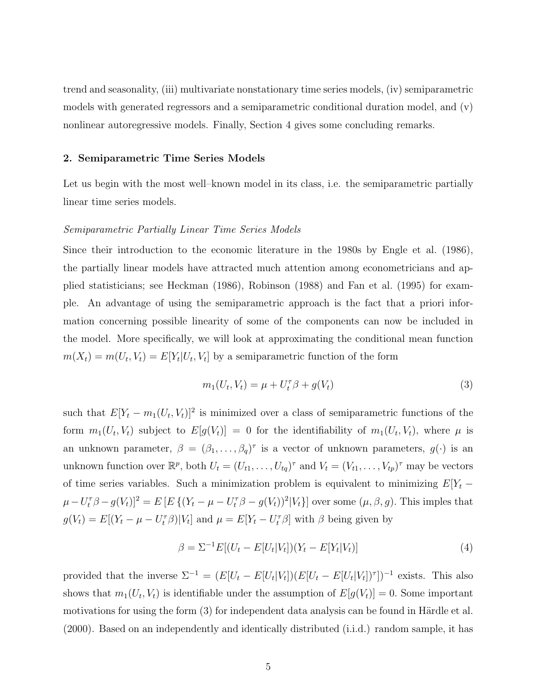trend and seasonality, (iii) multivariate nonstationary time series models, (iv) semiparametric models with generated regressors and a semiparametric conditional duration model, and (v) nonlinear autoregressive models. Finally, Section 4 gives some concluding remarks.

## 2. Semiparametric Time Series Models

Let us begin with the most well–known model in its class, i.e. the semiparametric partially linear time series models.

#### Semiparametric Partially Linear Time Series Models

Since their introduction to the economic literature in the 1980s by Engle et al. (1986), the partially linear models have attracted much attention among econometricians and applied statisticians; see Heckman (1986), Robinson (1988) and Fan et al. (1995) for example. An advantage of using the semiparametric approach is the fact that a priori information concerning possible linearity of some of the components can now be included in the model. More specifically, we will look at approximating the conditional mean function  $m(X_t) = m(U_t, V_t) = E[Y_t | U_t, V_t]$  by a semiparametric function of the form

$$
m_1(U_t, V_t) = \mu + U_t^{\tau} \beta + g(V_t)
$$
\n(3)

such that  $E[Y_t - m_1(U_t, V_t)]^2$  is minimized over a class of semiparametric functions of the form  $m_1(U_t, V_t)$  subject to  $E[g(V_t)] = 0$  for the identifiability of  $m_1(U_t, V_t)$ , where  $\mu$  is an unknown parameter,  $\beta = (\beta_1, \ldots, \beta_q)^\tau$  is a vector of unknown parameters,  $g(\cdot)$  is an unknown function over  $\mathbb{R}^p$ , both  $U_t = (U_{t1}, \ldots, U_{tq})^\tau$  and  $V_t = (V_{t1}, \ldots, V_{tp})^\tau$  may be vectors of time series variables. Such a minimization problem is equivalent to minimizing  $E[Y_t \mu - U_t^{\tau} \beta - g(V_t) \rbrack^2 = E \left[ E \left\{ (Y_t - \mu - U_t^{\tau} \beta - g(V_t))^2 | V_t \right\} \right]$  over some  $(\mu, \beta, g)$ . This imples that  $g(V_t) = E[(Y_t - \mu - U_t^{\tau} \beta)|V_t]$  and  $\mu = E[Y_t - U_t^{\tau} \beta]$  with  $\beta$  being given by

$$
\beta = \Sigma^{-1} E[(U_t - E[U_t|V_t])(Y_t - E[Y_t|V_t)] \tag{4}
$$

provided that the inverse  $\Sigma^{-1} = (E[U_t - E[U_t|V_t])(E[U_t - E[U_t|V_t])^{\tau}])^{-1}$  exists. This also shows that  $m_1(U_t, V_t)$  is identifiable under the assumption of  $E[g(V_t)] = 0$ . Some important motivations for using the form  $(3)$  for independent data analysis can be found in Härdle et al. (2000). Based on an independently and identically distributed (i.i.d.) random sample, it has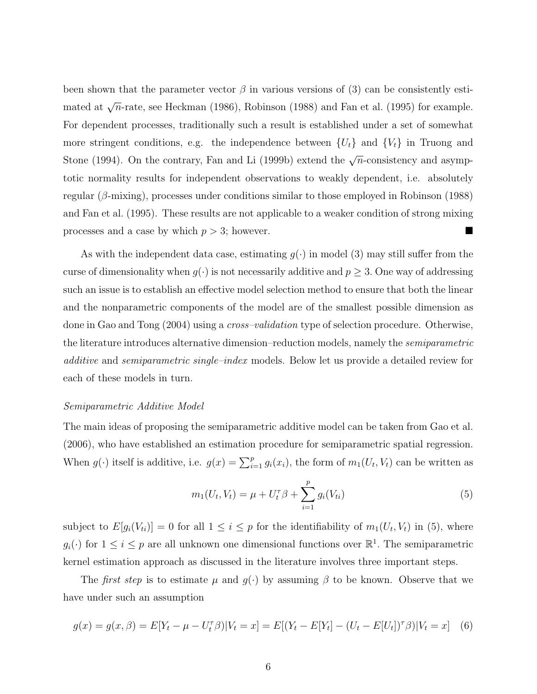been shown that the parameter vector  $\beta$  in various versions of (3) can be consistently estimated at  $\sqrt{n}$ -rate, see Heckman (1986), Robinson (1988) and Fan et al. (1995) for example. For dependent processes, traditionally such a result is established under a set of somewhat more stringent conditions, e.g. the independence between  $\{U_t\}$  and  $\{V_t\}$  in Truong and Stone (1994). On the contrary, Fan and Li (1999b) extend the  $\sqrt{n}$ -consistency and asymptotic normality results for independent observations to weakly dependent, i.e. absolutely regular ( $\beta$ -mixing), processes under conditions similar to those employed in Robinson (1988) and Fan et al. (1995). These results are not applicable to a weaker condition of strong mixing processes and a case by which  $p > 3$ ; however.

As with the independent data case, estimating  $g(\cdot)$  in model (3) may still suffer from the curse of dimensionality when  $g(\cdot)$  is not necessarily additive and  $p \geq 3$ . One way of addressing such an issue is to establish an effective model selection method to ensure that both the linear and the nonparametric components of the model are of the smallest possible dimension as done in Gao and Tong (2004) using a *cross–validation* type of selection procedure. Otherwise, the literature introduces alternative dimension–reduction models, namely the semiparametric additive and semiparametric single–index models. Below let us provide a detailed review for each of these models in turn.

#### Semiparametric Additive Model

The main ideas of proposing the semiparametric additive model can be taken from Gao et al. (2006), who have established an estimation procedure for semiparametric spatial regression. When  $g(\cdot)$  itself is additive, i.e.  $g(x) = \sum_{i=1}^{p} g_i(x_i)$ , the form of  $m_1(U_t, V_t)$  can be written as

$$
m_1(U_t, V_t) = \mu + U_t^{\tau} \beta + \sum_{i=1}^p g_i(V_{ti})
$$
\n(5)

subject to  $E[g_i(V_{ti})] = 0$  for all  $1 \leq i \leq p$  for the identifiability of  $m_1(U_t, V_t)$  in (5), where  $g_i(\cdot)$  for  $1 \leq i \leq p$  are all unknown one dimensional functions over  $\mathbb{R}^1$ . The semiparametric kernel estimation approach as discussed in the literature involves three important steps.

The *first step* is to estimate  $\mu$  and  $g(\cdot)$  by assuming  $\beta$  to be known. Observe that we have under such an assumption

$$
g(x) = g(x, \beta) = E[Y_t - \mu - U_t^{\tau} \beta]|V_t = x] = E[(Y_t - E[Y_t] - (U_t - E[U_t])^{\tau} \beta]|V_t = x] \tag{6}
$$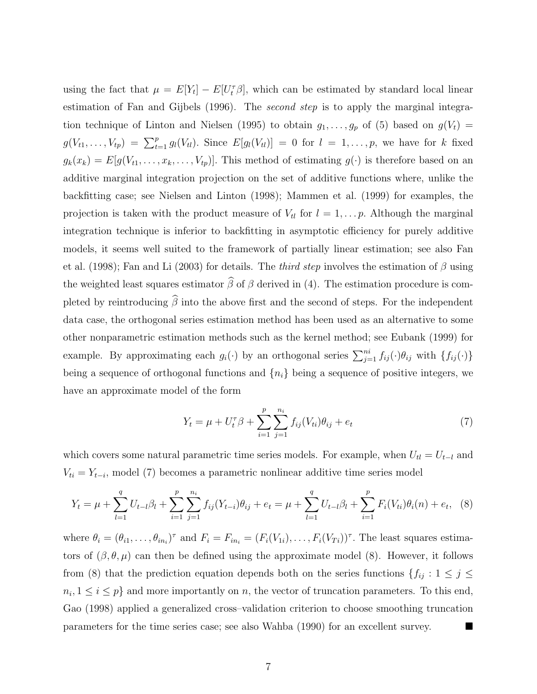using the fact that  $\mu = E[Y_t] - E[U_t^{\tau} \beta]$ , which can be estimated by standard local linear estimation of Fan and Gijbels (1996). The *second step* is to apply the marginal integration technique of Linton and Nielsen (1995) to obtain  $g_1, \ldots, g_p$  of (5) based on  $g(V_t)$  =  $g(V_{t1},\ldots,V_{tp}) = \sum_{t=1}^p g_l(V_{tt})$ . Since  $E[g_l(V_{tt})] = 0$  for  $l = 1,\ldots,p$ , we have for k fixed  $g_k(x_k) = E[g(V_{t1}, \ldots, x_k, \ldots, V_{tp})].$  This method of estimating  $g(\cdot)$  is therefore based on an additive marginal integration projection on the set of additive functions where, unlike the backfitting case; see Nielsen and Linton (1998); Mammen et al. (1999) for examples, the projection is taken with the product measure of  $V_{tl}$  for  $l = 1, \ldots p$ . Although the marginal integration technique is inferior to backfitting in asymptotic efficiency for purely additive models, it seems well suited to the framework of partially linear estimation; see also Fan et al. (1998); Fan and Li (2003) for details. The *third step* involves the estimation of  $\beta$  using the weighted least squares estimator  $\widehat{\beta}$  of  $\beta$  derived in (4). The estimation procedure is completed by reintroducing  $\widehat{\beta}$  into the above first and the second of steps. For the independent data case, the orthogonal series estimation method has been used as an alternative to some other nonparametric estimation methods such as the kernel method; see Eubank (1999) for example. By approximating each  $g_i(\cdot)$  by an orthogonal series  $\sum_{j=1}^{ni} f_{ij}(\cdot) \theta_{ij}$  with  $\{f_{ij}(\cdot)\}$ being a sequence of orthogonal functions and  $\{n_i\}$  being a sequence of positive integers, we have an approximate model of the form

$$
Y_t = \mu + U_t^{\tau} \beta + \sum_{i=1}^p \sum_{j=1}^{n_i} f_{ij}(V_{ti}) \theta_{ij} + e_t \tag{7}
$$

which covers some natural parametric time series models. For example, when  $U_{tl} = U_{t-l}$  and  $V_{ti} = Y_{t-i}$ , model (7) becomes a parametric nonlinear additive time series model

$$
Y_t = \mu + \sum_{l=1}^q U_{t-l} \beta_l + \sum_{i=1}^p \sum_{j=1}^{n_i} f_{ij} (Y_{t-i}) \theta_{ij} + e_t = \mu + \sum_{l=1}^q U_{t-l} \beta_l + \sum_{i=1}^p F_i (V_{ti}) \theta_i (n) + e_t, \tag{8}
$$

where  $\theta_i = (\theta_{i1}, \dots, \theta_{in_i})^{\tau}$  and  $F_i = F_{in_i} = (F_i(V_{1i}), \dots, F_i(V_{Ti}))^{\tau}$ . The least squares estimators of  $(\beta, \theta, \mu)$  can then be defined using the approximate model (8). However, it follows from (8) that the prediction equation depends both on the series functions  $\{f_{ij} : 1 \leq j \leq j \leq k\}$  $n_i, 1 \leq i \leq p$  and more importantly on n, the vector of truncation parameters. To this end, Gao (1998) applied a generalized cross–validation criterion to choose smoothing truncation parameters for the time series case; see also Wahba (1990) for an excellent survey.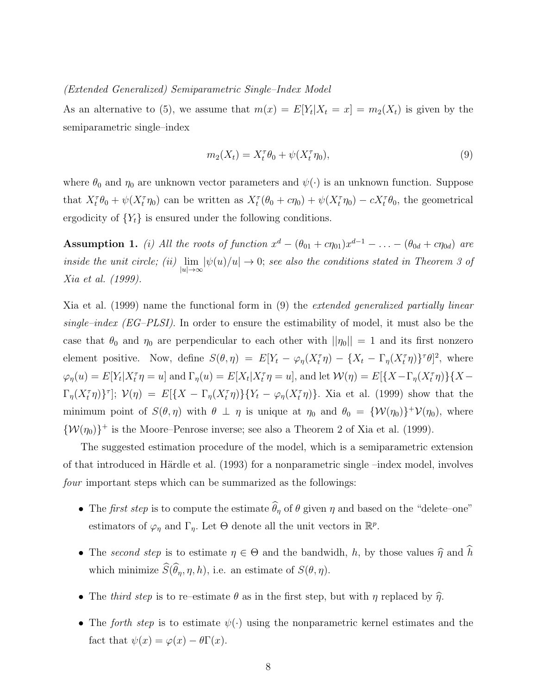#### (Extended Generalized) Semiparametric Single–Index Model

As an alternative to (5), we assume that  $m(x) = E[Y_t|X_t = x] = m_2(X_t)$  is given by the semiparametric single–index

$$
m_2(X_t) = X_t^{\tau} \theta_0 + \psi(X_t^{\tau} \eta_0), \tag{9}
$$

where  $\theta_0$  and  $\eta_0$  are unknown vector parameters and  $\psi(\cdot)$  is an unknown function. Suppose that  $X_t^{\tau} \theta_0 + \psi(X_t^{\tau} \eta_0)$  can be written as  $X_t^{\tau}(\theta_0 + c\eta_0) + \psi(X_t^{\tau} \eta_0) - cX_t^{\tau} \theta_0$ , the geometrical ergodicity of  ${Y_t}$  is ensured under the following conditions.

**Assumption 1.** (i) All the roots of function  $x^d - (\theta_{01} + c\eta_{01})x^{d-1} - \ldots - (\theta_{0d} + c\eta_{0d})$  are inside the unit circle; (ii)  $\lim_{|u|\to\infty} |\psi(u)/u| \to 0$ ; see also the conditions stated in Theorem 3 of Xia et al. (1999).

Xia et al. (1999) name the functional form in (9) the extended generalized partially linear single–index (EG–PLSI). In order to ensure the estimability of model, it must also be the case that  $\theta_0$  and  $\eta_0$  are perpendicular to each other with  $||\eta_0|| = 1$  and its first nonzero element positive. Now, define  $S(\theta, \eta) = E[Y_t - \varphi_{\eta}(X_t^{\tau} \eta) - \{X_t - \Gamma_{\eta}(X_t^{\tau} \eta)\}^{\tau} \theta]^2$ , where  $\varphi_{\eta}(u) = E[Y_t | X_t^{\tau} \eta = u]$  and  $\Gamma_{\eta}(u) = E[X_t | X_t^{\tau} \eta = u]$ , and let  $\mathcal{W}(\eta) = E[\{X - \Gamma_{\eta}(X_t^{\tau} \eta)\} \{X - \eta\eta\}$  $\Gamma_{\eta}(X_t^{\tau}\eta)$ <sup>T</sup>];  $\mathcal{V}(\eta) = E[\{X - \Gamma_{\eta}(X_t^{\tau}\eta)\} \{Y_t - \varphi_{\eta}(X_t^{\tau}\eta)\}].$  Xia et al. (1999) show that the minimum point of  $S(\theta, \eta)$  with  $\theta \perp \eta$  is unique at  $\eta_0$  and  $\theta_0 = {\mathcal{W}(\eta_0)}^+ \mathcal{V}(\eta_0)$ , where  $\{W(\eta_0)\}^+$  is the Moore–Penrose inverse; see also a Theorem 2 of Xia et al. (1999).

The suggested estimation procedure of the model, which is a semiparametric extension of that introduced in Härdle et al.  $(1993)$  for a nonparametric single –index model, involves four important steps which can be summarized as the followings:

- The *first step* is to compute the estimate  $\widehat{\theta}_{\eta}$  of  $\theta$  given  $\eta$  and based on the "delete–one" estimators of  $\varphi_{\eta}$  and  $\Gamma_{\eta}$ . Let  $\Theta$  denote all the unit vectors in  $\mathbb{R}^{p}$ .
- The second step is to estimate  $\eta \in \Theta$  and the bandwidh, h, by those values  $\hat{\eta}$  and  $\hat{h}$ which minimize  $\widehat{S}(\widehat{\theta}_{\eta}, \eta, h)$ , i.e. an estimate of  $S(\theta, \eta)$ .
- The third step is to re–estimate  $\theta$  as in the first step, but with  $\eta$  replaced by  $\hat{\eta}$ .
- The forth step is to estimate  $\psi(\cdot)$  using the nonparametric kernel estimates and the fact that  $\psi(x) = \varphi(x) - \theta \Gamma(x)$ .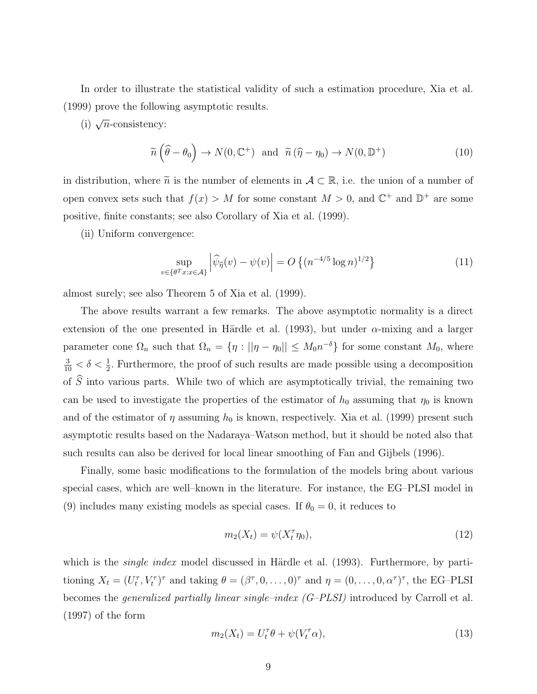In order to illustrate the statistical validity of such a estimation procedure, Xia et al. (1999) prove the following asymptotic results.

(i)  $\sqrt{n}$ -consistency:

$$
\widetilde{n}\left(\widehat{\theta}-\theta_0\right) \to N(0,\mathbb{C}^+) \quad \text{and} \quad \widetilde{n}\left(\widehat{\eta}-\eta_0\right) \to N(0,\mathbb{D}^+) \tag{10}
$$

in distribution, where  $\tilde{n}$  is the number of elements in  $\mathcal{A} \subset \mathbb{R}$ , i.e. the union of a number of open convex sets such that  $f(x) > M$  for some constant  $M > 0$ , and  $\mathbb{C}^+$  and  $\mathbb{D}^+$  are some positive, finite constants; see also Corollary of Xia et al. (1999).

(ii) Uniform convergence:

$$
\sup_{v \in \{\theta^T x : x \in \mathcal{A}\}} \left| \widehat{\psi}_{\widehat{\eta}}(v) - \psi(v) \right| = O\left\{ (n^{-4/5} \log n)^{1/2} \right\} \tag{11}
$$

almost surely; see also Theorem 5 of Xia et al. (1999).

The above results warrant a few remarks. The above asymptotic normality is a direct extension of the one presented in Härdle et al. (1993), but under  $\alpha$ -mixing and a larger parameter cone  $\Omega_n$  such that  $\Omega_n = \{ \eta : ||\eta - \eta_0|| \leq M_0 n^{-\delta} \}$  for some constant  $M_0$ , where  $\frac{3}{10} < \delta < \frac{1}{2}$ . Furthermore, the proof of such results are made possible using a decomposition of  $\tilde{S}$  into various parts. While two of which are asymptotically trivial, the remaining two can be used to investigate the properties of the estimator of  $h_0$  assuming that  $\eta_0$  is known and of the estimator of  $\eta$  assuming  $h_0$  is known, respectively. Xia et al. (1999) present such asymptotic results based on the Nadaraya–Watson method, but it should be noted also that such results can also be derived for local linear smoothing of Fan and Gijbels (1996).

Finally, some basic modifications to the formulation of the models bring about various special cases, which are well–known in the literature. For instance, the EG–PLSI model in (9) includes many existing models as special cases. If  $\theta_0 = 0$ , it reduces to

$$
m_2(X_t) = \psi(X_t^{\tau} \eta_0), \tag{12}
$$

which is the *single index* model discussed in Härdle et al.  $(1993)$ . Furthermore, by partitioning  $X_t = (U_t^{\tau}, V_t^{\tau})^{\tau}$  and taking  $\theta = (\beta^{\tau}, 0, \dots, 0)^{\tau}$  and  $\eta = (0, \dots, 0, \alpha^{\tau})^{\tau}$ , the EG-PLSI becomes the generalized partially linear single–index (G–PLSI) introduced by Carroll et al. (1997) of the form

$$
m_2(X_t) = U_t^\tau \theta + \psi(V_t^\tau \alpha), \tag{13}
$$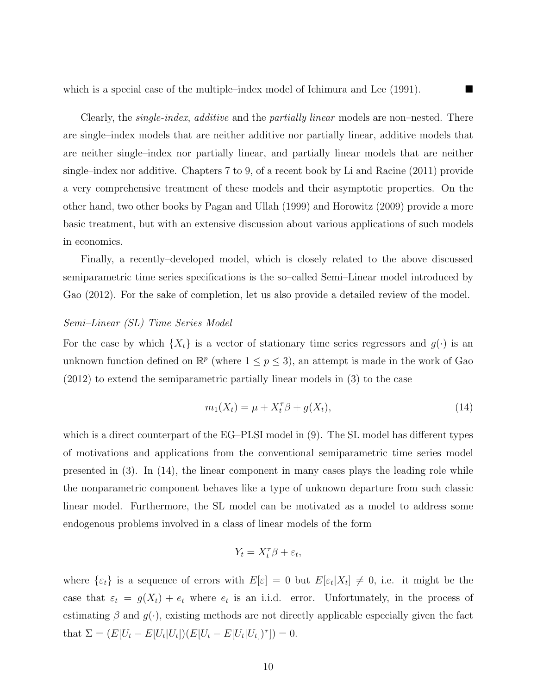which is a special case of the multiple–index model of Ichimura and Lee (1991).

Clearly, the *single-index*, *additive* and the *partially linear* models are non–nested. There are single–index models that are neither additive nor partially linear, additive models that are neither single–index nor partially linear, and partially linear models that are neither single–index nor additive. Chapters 7 to 9, of a recent book by Li and Racine (2011) provide a very comprehensive treatment of these models and their asymptotic properties. On the other hand, two other books by Pagan and Ullah (1999) and Horowitz (2009) provide a more basic treatment, but with an extensive discussion about various applications of such models in economics.

Finally, a recently–developed model, which is closely related to the above discussed semiparametric time series specifications is the so–called Semi–Linear model introduced by Gao (2012). For the sake of completion, let us also provide a detailed review of the model.

## Semi–Linear (SL) Time Series Model

For the case by which  $\{X_t\}$  is a vector of stationary time series regressors and  $g(\cdot)$  is an unknown function defined on  $\mathbb{R}^p$  (where  $1 \leq p \leq 3$ ), an attempt is made in the work of Gao (2012) to extend the semiparametric partially linear models in (3) to the case

$$
m_1(X_t) = \mu + X_t^{\tau} \beta + g(X_t), \tag{14}
$$

which is a direct counterpart of the EG–PLSI model in (9). The SL model has different types of motivations and applications from the conventional semiparametric time series model presented in (3). In (14), the linear component in many cases plays the leading role while the nonparametric component behaves like a type of unknown departure from such classic linear model. Furthermore, the SL model can be motivated as a model to address some endogenous problems involved in a class of linear models of the form

$$
Y_t = X_t^\tau \beta + \varepsilon_t,
$$

where  $\{\varepsilon_t\}$  is a sequence of errors with  $E[\varepsilon] = 0$  but  $E[\varepsilon_t|X_t] \neq 0$ , i.e. it might be the case that  $\varepsilon_t = g(X_t) + e_t$  where  $e_t$  is an i.i.d. error. Unfortunately, in the process of estimating  $\beta$  and  $g(\cdot)$ , existing methods are not directly applicable especially given the fact that  $\Sigma = (E[U_t - E[U_t|U_t])(E[U_t - E[U_t|U_t])^{\tau}]) = 0.$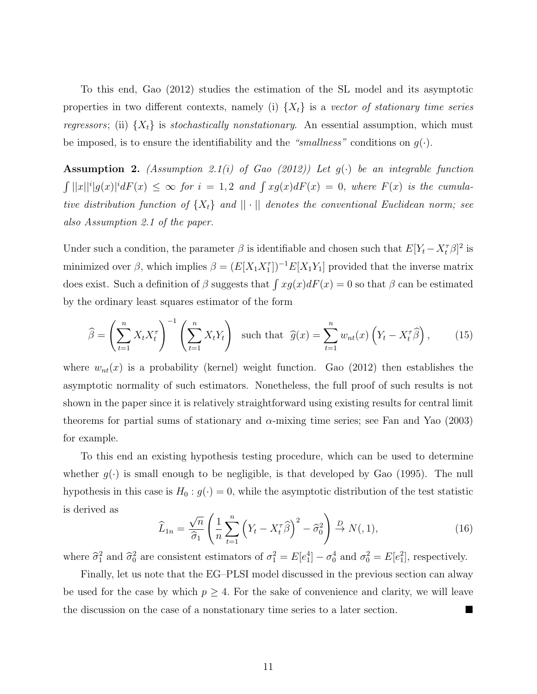To this end, Gao (2012) studies the estimation of the SL model and its asymptotic properties in two different contexts, namely (i)  $\{X_t\}$  is a vector of stationary time series regressors; (ii)  $\{X_t\}$  is stochastically nonstationary. An essential assumption, which must be imposed, is to ensure the identifiability and the "smallness" conditions on  $g(\cdot)$ .

Assumption 2. (Assumption 2.1(i) of Gao (2012)) Let  $g(\cdot)$  be an integrable function  $\int ||x||^i |g(x)|^i dF(x) \leq \infty$  for  $i = 1, 2$  and  $\int xg(x) dF(x) = 0$ , where  $F(x)$  is the cumulative distribution function of  $\{X_t\}$  and  $||\cdot||$  denotes the conventional Euclidean norm; see also Assumption 2.1 of the paper.

Under such a condition, the parameter  $\beta$  is identifiable and chosen such that  $E[Y_t - X_t^{\tau} \beta]^2$  is minimized over  $\beta$ , which implies  $\beta = (E[X_1 X_1^{\tau}]^{-1} E[X_1 Y_1]$  provided that the inverse matrix does exist. Such a definition of  $\beta$  suggests that  $\int xg(x)dF(x) = 0$  so that  $\beta$  can be estimated by the ordinary least squares estimator of the form

$$
\widehat{\beta} = \left(\sum_{t=1}^{n} X_t X_t^{\tau}\right)^{-1} \left(\sum_{t=1}^{n} X_t Y_t\right) \text{ such that } \widehat{g}(x) = \sum_{t=1}^{n} w_{nt}(x) \left(Y_t - X_t^{\tau}\widehat{\beta}\right), \qquad (15)
$$

where  $w_{nt}(x)$  is a probability (kernel) weight function. Gao (2012) then establishes the asymptotic normality of such estimators. Nonetheless, the full proof of such results is not shown in the paper since it is relatively straightforward using existing results for central limit theorems for partial sums of stationary and  $\alpha$ -mixing time series; see Fan and Yao (2003) for example.

To this end an existing hypothesis testing procedure, which can be used to determine whether  $g(\cdot)$  is small enough to be negligible, is that developed by Gao (1995). The null hypothesis in this case is  $H_0: g(\cdot) = 0$ , while the asymptotic distribution of the test statistic is derived as

$$
\widehat{L}_{1n} = \frac{\sqrt{n}}{\widehat{\sigma}_1} \left( \frac{1}{n} \sum_{t=1}^n \left( Y_t - X_t^{\tau} \widehat{\beta} \right)^2 - \widehat{\sigma}_0^2 \right) \xrightarrow{D} N(0, 1), \tag{16}
$$

where  $\hat{\sigma}_1^2$  and  $\hat{\sigma}_0^2$  are consistent estimators of  $\sigma_1^2 = E[e_1^4] - \sigma_0^4$  and  $\sigma_0^2 = E[e_1^2]$ , respectively.

Finally, let us note that the EG–PLSI model discussed in the previous section can alway be used for the case by which  $p \geq 4$ . For the sake of convenience and clarity, we will leave the discussion on the case of a nonstationary time series to a later section.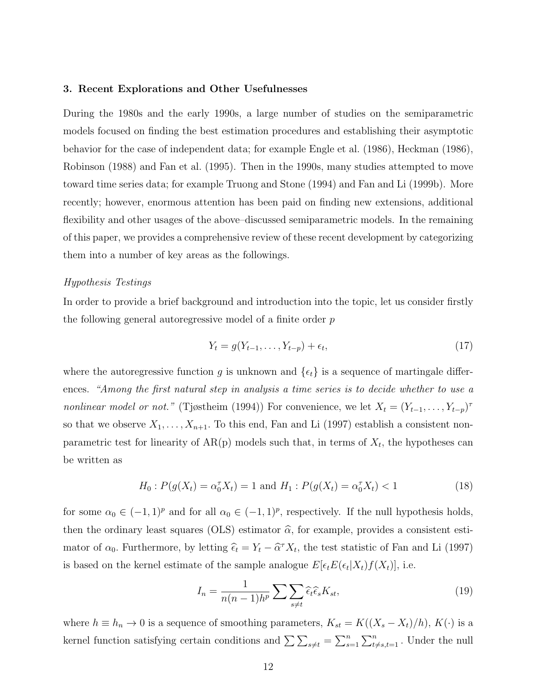## 3. Recent Explorations and Other Usefulnesses

During the 1980s and the early 1990s, a large number of studies on the semiparametric models focused on finding the best estimation procedures and establishing their asymptotic behavior for the case of independent data; for example Engle et al. (1986), Heckman (1986), Robinson (1988) and Fan et al. (1995). Then in the 1990s, many studies attempted to move toward time series data; for example Truong and Stone (1994) and Fan and Li (1999b). More recently; however, enormous attention has been paid on finding new extensions, additional flexibility and other usages of the above–discussed semiparametric models. In the remaining of this paper, we provides a comprehensive review of these recent development by categorizing them into a number of key areas as the followings.

#### Hypothesis Testings

In order to provide a brief background and introduction into the topic, let us consider firstly the following general autoregressive model of a finite order p

$$
Y_t = g(Y_{t-1}, \dots, Y_{t-p}) + \epsilon_t,\tag{17}
$$

where the autoregressive function g is unknown and  $\{\epsilon_t\}$  is a sequence of martingale differences. "Among the first natural step in analysis a time series is to decide whether to use a nonlinear model or not." (Tjøstheim (1994)) For convenience, we let  $X_t = (Y_{t-1}, \ldots, Y_{t-p})^{\tau}$ so that we observe  $X_1, \ldots, X_{n+1}$ . To this end, Fan and Li (1997) establish a consistent nonparametric test for linearity of  $AR(p)$  models such that, in terms of  $X_t$ , the hypotheses can be written as

$$
H_0: P(g(X_t) = \alpha_0^{\tau} X_t) = 1 \text{ and } H_1: P(g(X_t) = \alpha_0^{\tau} X_t) < 1 \tag{18}
$$

for some  $\alpha_0 \in (-1,1)^p$  and for all  $\alpha_0 \in (-1,1)^p$ , respectively. If the null hypothesis holds, then the ordinary least squares (OLS) estimator  $\hat{\alpha}$ , for example, provides a consistent estimator of  $\alpha_0$ . Furthermore, by letting  $\hat{\epsilon}_t = Y_t - \hat{\alpha}^\tau X_t$ , the test statistic of Fan and Li (1997) is based on the kernel estimate of the sample analogue  $E[\epsilon_t E(\epsilon_t | X_t) f(X_t)],$  i.e.

$$
I_n = \frac{1}{n(n-1)h^p} \sum \sum_{s \neq t} \hat{\epsilon}_t \hat{\epsilon}_s K_{st},
$$
\n(19)

where  $h \equiv h_n \to 0$  is a sequence of smoothing parameters,  $K_{st} = K((X_s - X_t)/h)$ ,  $K(\cdot)$  is a kernel function satisfying certain conditions and  $\sum_{s \neq t} \sum_{s=1}^n \sum_{s=1}^n$ . Under the null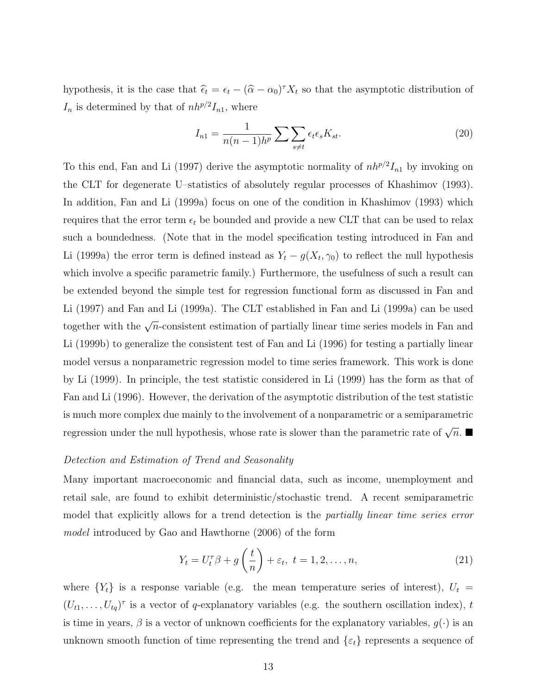hypothesis, it is the case that  $\hat{\epsilon}_t = \epsilon_t - (\hat{\alpha} - \alpha_0)^T X_t$  so that the asymptotic distribution of  $I_n$  is determined by that of  $nh^{p/2}I_{n1}$ , where

$$
I_{n1} = \frac{1}{n(n-1)h^p} \sum \sum_{s \neq t} \epsilon_t \epsilon_s K_{st}.
$$
 (20)

To this end, Fan and Li (1997) derive the asymptotic normality of  $nh^{p/2}I_{n1}$  by invoking on the CLT for degenerate U–statistics of absolutely regular processes of Khashimov (1993). In addition, Fan and Li (1999a) focus on one of the condition in Khashimov (1993) which requires that the error term  $\epsilon_t$  be bounded and provide a new CLT that can be used to relax such a boundedness. (Note that in the model specification testing introduced in Fan and Li (1999a) the error term is defined instead as  $Y_t - g(X_t, \gamma_0)$  to reflect the null hypothesis which involve a specific parametric family.) Furthermore, the usefulness of such a result can be extended beyond the simple test for regression functional form as discussed in Fan and Li (1997) and Fan and Li (1999a). The CLT established in Fan and Li (1999a) can be used together with the  $\sqrt{n}$ -consistent estimation of partially linear time series models in Fan and Li (1999b) to generalize the consistent test of Fan and Li (1996) for testing a partially linear model versus a nonparametric regression model to time series framework. This work is done by Li (1999). In principle, the test statistic considered in Li (1999) has the form as that of Fan and Li (1996). However, the derivation of the asymptotic distribution of the test statistic is much more complex due mainly to the involvement of a nonparametric or a semiparametric regression under the null hypothesis, whose rate is slower than the parametric rate of  $\sqrt{n}$ .

## Detection and Estimation of Trend and Seasonality

Many important macroeconomic and financial data, such as income, unemployment and retail sale, are found to exhibit deterministic/stochastic trend. A recent semiparametric model that explicitly allows for a trend detection is the partially linear time series error model introduced by Gao and Hawthorne (2006) of the form

$$
Y_t = U_t^{\tau} \beta + g\left(\frac{t}{n}\right) + \varepsilon_t, \ t = 1, 2, \dots, n,
$$
\n(21)

where  ${Y_t}$  is a response variable (e.g. the mean temperature series of interest),  $U_t =$  $(U_{t1},...,U_{tq})^{\tau}$  is a vector of q-explanatory variables (e.g. the southern oscillation index), t is time in years,  $\beta$  is a vector of unknown coefficients for the explanatory variables,  $g(\cdot)$  is an unknown smooth function of time representing the trend and  $\{\varepsilon_t\}$  represents a sequence of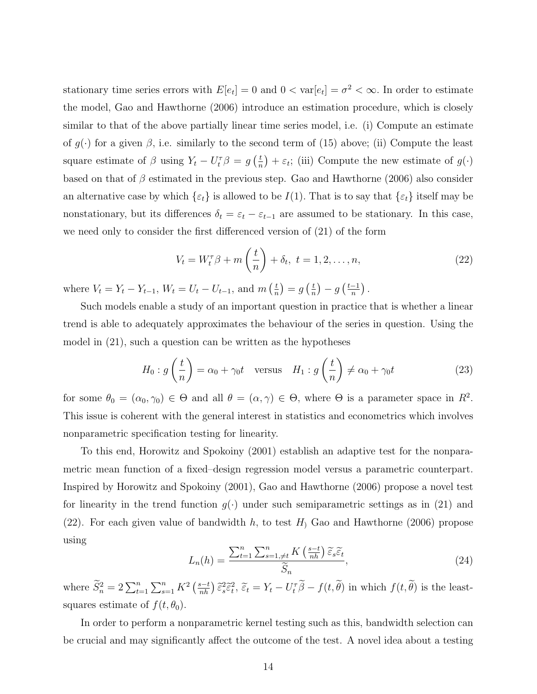stationary time series errors with  $E[e_t] = 0$  and  $0 < \text{var}[e_t] = \sigma^2 < \infty$ . In order to estimate the model, Gao and Hawthorne (2006) introduce an estimation procedure, which is closely similar to that of the above partially linear time series model, i.e. (i) Compute an estimate of  $g(\cdot)$  for a given  $\beta$ , i.e. similarly to the second term of (15) above; (ii) Compute the least square estimate of  $\beta$  using  $Y_t - U_t^{\tau} \beta = g\left(\frac{t}{n}\right)$  $(\frac{t}{n}) + \varepsilon_t$ ; (iii) Compute the new estimate of  $g(\cdot)$ based on that of  $\beta$  estimated in the previous step. Gao and Hawthorne (2006) also consider an alternative case by which  $\{\varepsilon_t\}$  is allowed to be  $I(1)$ . That is to say that  $\{\varepsilon_t\}$  itself may be nonstationary, but its differences  $\delta_t = \varepsilon_t - \varepsilon_{t-1}$  are assumed to be stationary. In this case, we need only to consider the first differenced version of (21) of the form

$$
V_t = W_t^{\tau} \beta + m\left(\frac{t}{n}\right) + \delta_t, \ t = 1, 2, \dots, n,
$$
\n(22)

where  $V_t = Y_t - Y_{t-1}$ ,  $W_t = U_t - U_{t-1}$ , and  $m\left(\frac{t}{n}\right)$  $(\frac{t}{n})=g\left(\frac{t}{n}\right)$  $\frac{t}{n}$ ) –  $g\left(\frac{t-1}{n}\right)$  $\frac{-1}{n}$ ).

Such models enable a study of an important question in practice that is whether a linear trend is able to adequately approximates the behaviour of the series in question. Using the model in (21), such a question can be written as the hypotheses

$$
H_0: g\left(\frac{t}{n}\right) = \alpha_0 + \gamma_0 t \quad \text{versus} \quad H_1: g\left(\frac{t}{n}\right) \neq \alpha_0 + \gamma_0 t \tag{23}
$$

for some  $\theta_0 = (\alpha_0, \gamma_0) \in \Theta$  and all  $\theta = (\alpha, \gamma) \in \Theta$ , where  $\Theta$  is a parameter space in  $R^2$ . This issue is coherent with the general interest in statistics and econometrics which involves nonparametric specification testing for linearity.

To this end, Horowitz and Spokoiny (2001) establish an adaptive test for the nonparametric mean function of a fixed–design regression model versus a parametric counterpart. Inspired by Horowitz and Spokoiny (2001), Gao and Hawthorne (2006) propose a novel test for linearity in the trend function  $g(\cdot)$  under such semiparametric settings as in (21) and (22). For each given value of bandwidth h, to test  $H<sub>1</sub>$  Gao and Hawthorne (2006) propose using

$$
L_n(h) = \frac{\sum_{t=1}^n \sum_{s=1, \neq t}^n K\left(\frac{s-t}{nh}\right) \widetilde{\varepsilon}_s \widetilde{\varepsilon}_t}{\widetilde{S}_n},\tag{24}
$$

where  $\widetilde{S}_n^2 = 2 \sum_{t=1}^n \sum_{s=1}^n K^2 \left(\frac{s-t}{nh}\right) \widetilde{\epsilon}_s^2 \widetilde{\epsilon}_t^2$ ,  $\widetilde{\epsilon}_t = Y_t - U_t^{\tau} \widetilde{\beta} - f(t, \widetilde{\theta})$  in which  $f(t, \widetilde{\theta})$  is the leastsquares estimate of  $f(t, \theta_0)$ .

In order to perform a nonparametric kernel testing such as this, bandwidth selection can be crucial and may significantly affect the outcome of the test. A novel idea about a testing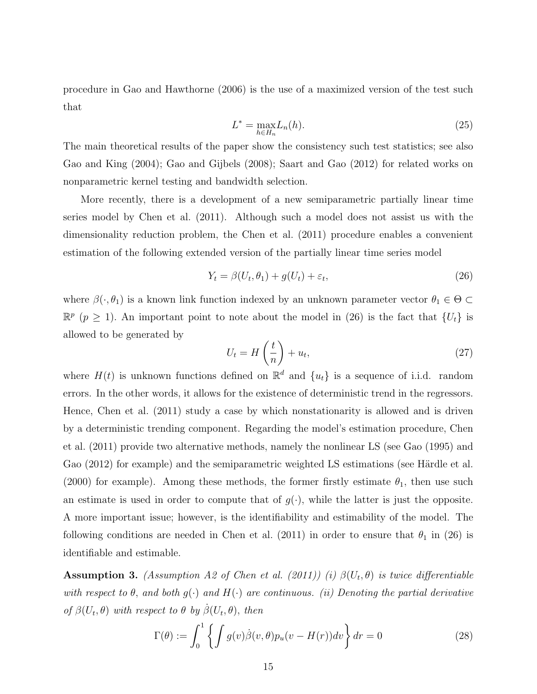procedure in Gao and Hawthorne (2006) is the use of a maximized version of the test such that

$$
L^* = \max_{h \in H_n} L_n(h). \tag{25}
$$

The main theoretical results of the paper show the consistency such test statistics; see also Gao and King (2004); Gao and Gijbels (2008); Saart and Gao (2012) for related works on nonparametric kernel testing and bandwidth selection.

More recently, there is a development of a new semiparametric partially linear time series model by Chen et al. (2011). Although such a model does not assist us with the dimensionality reduction problem, the Chen et al. (2011) procedure enables a convenient estimation of the following extended version of the partially linear time series model

$$
Y_t = \beta(U_t, \theta_1) + g(U_t) + \varepsilon_t,\tag{26}
$$

where  $\beta(\cdot,\theta_1)$  is a known link function indexed by an unknown parameter vector  $\theta_1 \in \Theta$  $\mathbb{R}^p$  ( $p \geq 1$ ). An important point to note about the model in (26) is the fact that  $\{U_t\}$  is allowed to be generated by

$$
U_t = H\left(\frac{t}{n}\right) + u_t,\tag{27}
$$

where  $H(t)$  is unknown functions defined on  $\mathbb{R}^d$  and  $\{u_t\}$  is a sequence of i.i.d. random errors. In the other words, it allows for the existence of deterministic trend in the regressors. Hence, Chen et al. (2011) study a case by which nonstationarity is allowed and is driven by a deterministic trending component. Regarding the model's estimation procedure, Chen et al. (2011) provide two alternative methods, namely the nonlinear LS (see Gao (1995) and Gao  $(2012)$  for example) and the semiparametric weighted LS estimations (see Härdle et al. (2000) for example). Among these methods, the former firstly estimate  $\theta_1$ , then use such an estimate is used in order to compute that of  $g(\cdot)$ , while the latter is just the opposite. A more important issue; however, is the identifiability and estimability of the model. The following conditions are needed in Chen et al. (2011) in order to ensure that  $\theta_1$  in (26) is identifiable and estimable.

**Assumption 3.** (Assumption A2 of Chen et al. (2011)) (i)  $\beta(U_t, \theta)$  is twice differentiable with respect to  $\theta$ , and both  $g(\cdot)$  and  $H(\cdot)$  are continuous. (ii) Denoting the partial derivative of  $\beta(U_t, \theta)$  with respect to  $\theta$  by  $\dot{\beta}(U_t, \theta)$ , then

$$
\Gamma(\theta) := \int_0^1 \left\{ \int g(v)\dot{\beta}(v,\theta)p_u(v - H(r))dv \right\} dr = 0
$$
\n(28)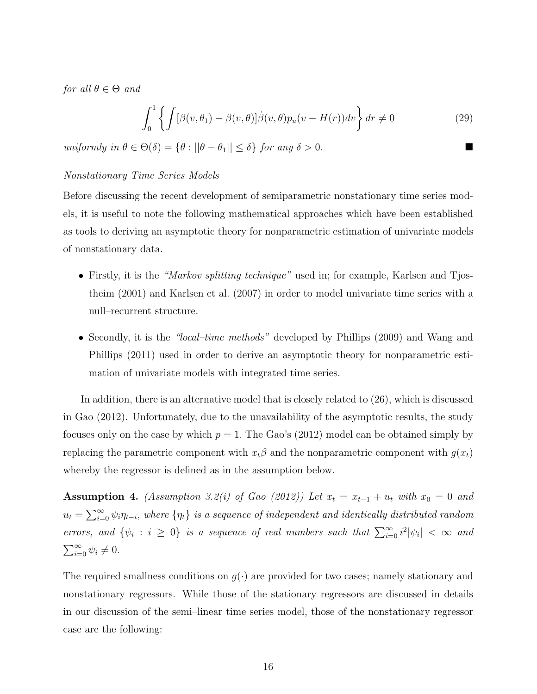for all  $\theta \in \Theta$  and

$$
\int_0^1 \left\{ \int [\beta(v,\theta_1) - \beta(v,\theta)] \dot{\beta}(v,\theta) p_u(v - H(r)) dv \right\} dr \neq 0
$$
 (29)

uniformly in  $\theta \in \Theta(\delta) = {\theta : ||\theta - \theta_1|| \leq \delta}$  for any  $\delta > 0$ .

## Nonstationary Time Series Models

Before discussing the recent development of semiparametric nonstationary time series models, it is useful to note the following mathematical approaches which have been established as tools to deriving an asymptotic theory for nonparametric estimation of univariate models of nonstationary data.

- Firstly, it is the "Markov splitting technique" used in; for example, Karlsen and Tjostheim (2001) and Karlsen et al. (2007) in order to model univariate time series with a null–recurrent structure.
- Secondly, it is the "local-time methods" developed by Phillips (2009) and Wang and Phillips (2011) used in order to derive an asymptotic theory for nonparametric estimation of univariate models with integrated time series.

In addition, there is an alternative model that is closely related to (26), which is discussed in Gao (2012). Unfortunately, due to the unavailability of the asymptotic results, the study focuses only on the case by which  $p = 1$ . The Gao's (2012) model can be obtained simply by replacing the parametric component with  $x_t\beta$  and the nonparametric component with  $g(x_t)$ whereby the regressor is defined as in the assumption below.

Assumption 4. (Assumption 3.2(i) of Gao (2012)) Let  $x_t = x_{t-1} + u_t$  with  $x_0 = 0$  and  $u_t = \sum_{i=0}^{\infty} \psi_i \eta_{t-i}$ , where  $\{\eta_t\}$  is a sequence of independent and identically distributed random errors, and  $\{\psi_i : i \geq 0\}$  is a sequence of real numbers such that  $\sum_{i=0}^{\infty} i^2 |\psi_i| < \infty$  and  $\sum_{i=0}^{\infty} \psi_i \neq 0.$ 

The required smallness conditions on  $g(\cdot)$  are provided for two cases; namely stationary and nonstationary regressors. While those of the stationary regressors are discussed in details in our discussion of the semi–linear time series model, those of the nonstationary regressor case are the following: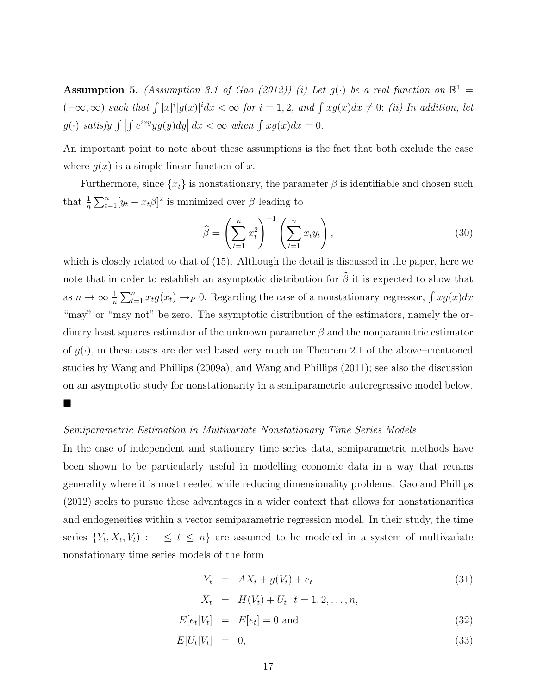**Assumption 5.** (Assumption 3.1 of Gao (2012)) (i) Let  $g(\cdot)$  be a real function on  $\mathbb{R}^1$  =  $(-\infty,\infty)$  such that  $\int |x|^i|g(x)|^i dx < \infty$  for  $i = 1, 2$ , and  $\int xg(x)dx \neq 0$ ; (ii) In addition, let  $g(\cdot)$  satisfy  $\int \left| \int e^{ixy}yg(y)dy \right| dx < \infty$  when  $\int xg(x)dx = 0$ .

An important point to note about these assumptions is the fact that both exclude the case where  $g(x)$  is a simple linear function of x.

Furthermore, since  $\{x_t\}$  is nonstationary, the parameter  $\beta$  is identifiable and chosen such that  $\frac{1}{n} \sum_{t=1}^{n} [y_t - x_t \beta]^2$  is minimized over  $\beta$  leading to

$$
\widehat{\beta} = \left(\sum_{t=1}^{n} x_t^2\right)^{-1} \left(\sum_{t=1}^{n} x_t y_t\right),\tag{30}
$$

which is closely related to that of (15). Although the detail is discussed in the paper, here we note that in order to establish an asymptotic distribution for  $\widehat{\beta}$  it is expected to show that as  $n \to \infty$   $\frac{1}{n} \sum_{t=1}^{n} x_t g(x_t) \to_P 0$ . Regarding the case of a nonstationary regressor,  $\int x g(x) dx$ "may" or "may not" be zero. The asymptotic distribution of the estimators, namely the ordinary least squares estimator of the unknown parameter  $\beta$  and the nonparametric estimator of  $g(\cdot)$ , in these cases are derived based very much on Theorem 2.1 of the above–mentioned studies by Wang and Phillips (2009a), and Wang and Phillips (2011); see also the discussion on an asymptotic study for nonstationarity in a semiparametric autoregressive model below.  $\blacksquare$ 

#### Semiparametric Estimation in Multivariate Nonstationary Time Series Models

In the case of independent and stationary time series data, semiparametric methods have been shown to be particularly useful in modelling economic data in a way that retains generality where it is most needed while reducing dimensionality problems. Gao and Phillips (2012) seeks to pursue these advantages in a wider context that allows for nonstationarities and endogeneities within a vector semiparametric regression model. In their study, the time series  $\{Y_t, X_t, V_t\}$ :  $1 \leq t \leq n\}$  are assumed to be modeled in a system of multivariate nonstationary time series models of the form

$$
Y_t = AX_t + g(V_t) + e_t \tag{31}
$$

$$
X_t = H(V_t) + U_t \t= 1, 2, \ldots, n,
$$

$$
E[e_t|V_t] = E[e_t] = 0 \text{ and } \tag{32}
$$

$$
E[U_t|V_t] = 0,\t\t(33)
$$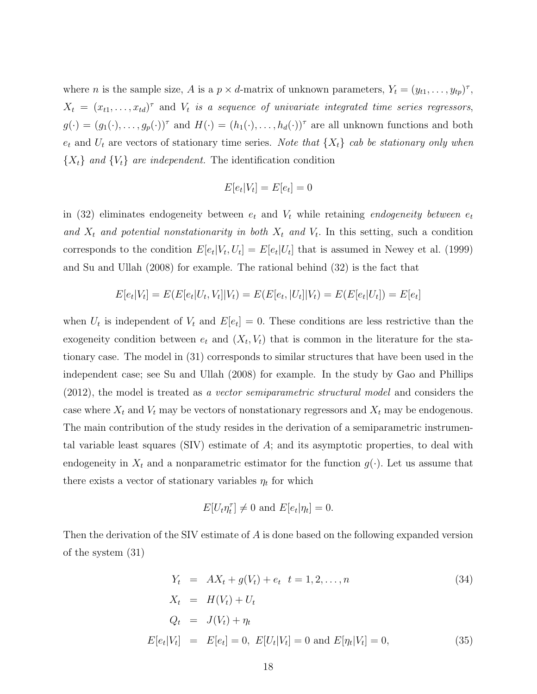where *n* is the sample size, *A* is a  $p \times d$ -matrix of unknown parameters,  $Y_t = (y_{t1}, \ldots, y_{tp})^{\tau}$ ,  $X_t = (x_{t1}, \ldots, x_{td})^{\tau}$  and  $V_t$  is a sequence of univariate integrated time series regressors,  $g(\cdot) = (g_1(\cdot), \ldots, g_p(\cdot))^{\tau}$  and  $H(\cdot) = (h_1(\cdot), \ldots, h_d(\cdot))^{\tau}$  are all unknown functions and both  $e_t$  and  $U_t$  are vectors of stationary time series. Note that  $\{X_t\}$  cab be stationary only when  ${X<sub>t</sub>}$  and  ${V<sub>t</sub>}$  are independent. The identification condition

$$
E[e_t|V_t] = E[e_t] = 0
$$

in (32) eliminates endogeneity between  $e_t$  and  $V_t$  while retaining *endogeneity between*  $e_t$ and  $X_t$  and potential nonstationarity in both  $X_t$  and  $V_t$ . In this setting, such a condition corresponds to the condition  $E[e_t|V_t, U_t] = E[e_t|U_t]$  that is assumed in Newey et al. (1999) and Su and Ullah (2008) for example. The rational behind (32) is the fact that

$$
E[e_t|V_t] = E(E[e_t|U_t, V_t]|V_t) = E(E[e_t, |U_t]|V_t) = E(E[e_t|U_t]) = E[e_t]
$$

when  $U_t$  is independent of  $V_t$  and  $E[e_t] = 0$ . These conditions are less restrictive than the exogeneity condition between  $e_t$  and  $(X_t, V_t)$  that is common in the literature for the stationary case. The model in (31) corresponds to similar structures that have been used in the independent case; see Su and Ullah (2008) for example. In the study by Gao and Phillips (2012), the model is treated as a vector semiparametric structural model and considers the case where  $X_t$  and  $V_t$  may be vectors of nonstationary regressors and  $X_t$  may be endogenous. The main contribution of the study resides in the derivation of a semiparametric instrumental variable least squares  $(SIV)$  estimate of  $A$ ; and its asymptotic properties, to deal with endogeneity in  $X_t$  and a nonparametric estimator for the function  $g(\cdot)$ . Let us assume that there exists a vector of stationary variables  $\eta_t$  for which

$$
E[U_t\eta_t^{\tau}] \neq 0 \text{ and } E[e_t|\eta_t] = 0.
$$

Then the derivation of the SIV estimate of A is done based on the following expanded version of the system (31)

$$
Y_t = AX_t + g(V_t) + e_t \t= 1, 2, ..., n
$$
\n
$$
X_t = H(V_t) + U_t
$$
\n
$$
Q_t = J(V_t) + \eta_t
$$
\n
$$
E[e_t|V_t] = E[e_t] = 0, E[U_t|V_t] = 0 \text{ and } E[\eta_t|V_t] = 0,
$$
\n(35)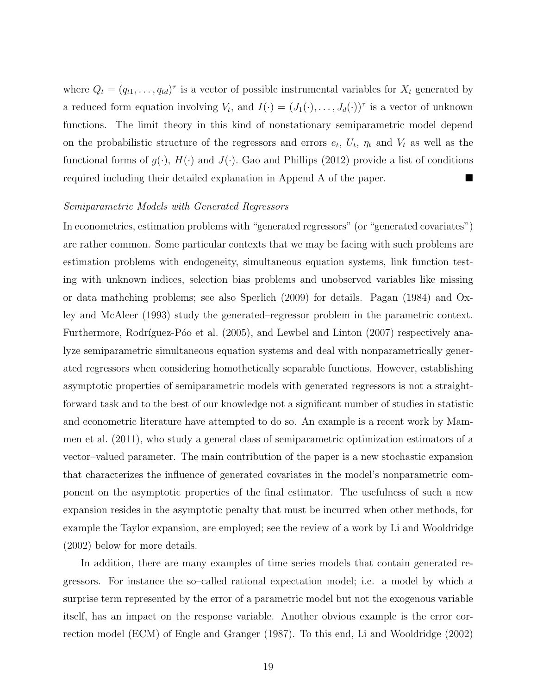where  $Q_t = (q_{t1}, \ldots, q_{td})^{\tau}$  is a vector of possible instrumental variables for  $X_t$  generated by a reduced form equation involving  $V_t$ , and  $I(\cdot) = (J_1(\cdot), \ldots, J_d(\cdot))^{\tau}$  is a vector of unknown functions. The limit theory in this kind of nonstationary semiparametric model depend on the probabilistic structure of the regressors and errors  $e_t$ ,  $U_t$ ,  $\eta_t$  and  $V_t$  as well as the functional forms of  $g(\cdot)$ ,  $H(\cdot)$  and  $J(\cdot)$ . Gao and Phillips (2012) provide a list of conditions required including their detailed explanation in Append A of the paper.

## Semiparametric Models with Generated Regressors

In econometrics, estimation problems with "generated regressors" (or "generated covariates") are rather common. Some particular contexts that we may be facing with such problems are estimation problems with endogeneity, simultaneous equation systems, link function testing with unknown indices, selection bias problems and unobserved variables like missing or data mathching problems; see also Sperlich (2009) for details. Pagan (1984) and Oxley and McAleer (1993) study the generated–regressor problem in the parametric context. Furthermore, Rodríguez-Póo et al. (2005), and Lewbel and Linton (2007) respectively analyze semiparametric simultaneous equation systems and deal with nonparametrically generated regressors when considering homothetically separable functions. However, establishing asymptotic properties of semiparametric models with generated regressors is not a straightforward task and to the best of our knowledge not a significant number of studies in statistic and econometric literature have attempted to do so. An example is a recent work by Mammen et al. (2011), who study a general class of semiparametric optimization estimators of a vector–valued parameter. The main contribution of the paper is a new stochastic expansion that characterizes the influence of generated covariates in the model's nonparametric component on the asymptotic properties of the final estimator. The usefulness of such a new expansion resides in the asymptotic penalty that must be incurred when other methods, for example the Taylor expansion, are employed; see the review of a work by Li and Wooldridge (2002) below for more details.

In addition, there are many examples of time series models that contain generated regressors. For instance the so–called rational expectation model; i.e. a model by which a surprise term represented by the error of a parametric model but not the exogenous variable itself, has an impact on the response variable. Another obvious example is the error correction model (ECM) of Engle and Granger (1987). To this end, Li and Wooldridge (2002)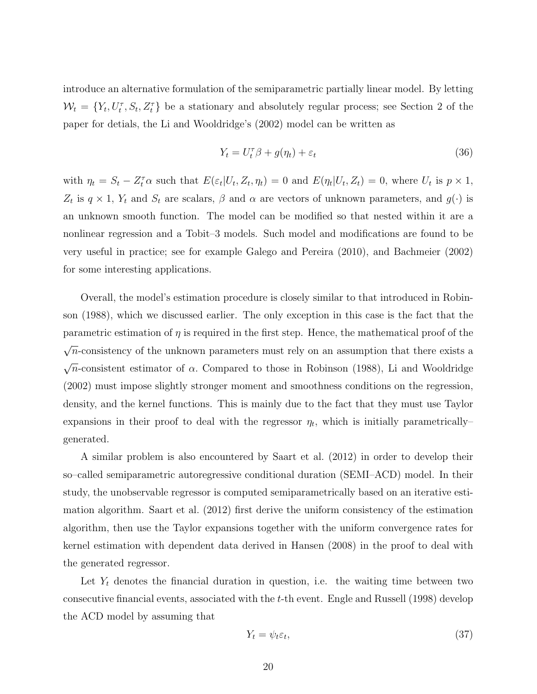introduce an alternative formulation of the semiparametric partially linear model. By letting  $W_t = \{Y_t, U_t^{\tau}, S_t, Z_t^{\tau}\}\$ be a stationary and absolutely regular process; see Section 2 of the paper for detials, the Li and Wooldridge's (2002) model can be written as

$$
Y_t = U_t^{\tau} \beta + g(\eta_t) + \varepsilon_t \tag{36}
$$

with  $\eta_t = S_t - Z_t^{\tau} \alpha$  such that  $E(\varepsilon_t | U_t, Z_t, \eta_t) = 0$  and  $E(\eta_t | U_t, Z_t) = 0$ , where  $U_t$  is  $p \times 1$ ,  $Z_t$  is  $q \times 1$ ,  $Y_t$  and  $S_t$  are scalars,  $\beta$  and  $\alpha$  are vectors of unknown parameters, and  $g(\cdot)$  is an unknown smooth function. The model can be modified so that nested within it are a nonlinear regression and a Tobit–3 models. Such model and modifications are found to be very useful in practice; see for example Galego and Pereira (2010), and Bachmeier (2002) for some interesting applications.

Overall, the model's estimation procedure is closely similar to that introduced in Robinson (1988), which we discussed earlier. The only exception in this case is the fact that the parametric estimation of  $\eta$  is required in the first step. Hence, the mathematical proof of the √  $\overline{n}$ -consistency of the unknown parameters must rely on an assumption that there exists a √  $\overline{n}$ -consistent estimator of  $\alpha$ . Compared to those in Robinson (1988), Li and Wooldridge (2002) must impose slightly stronger moment and smoothness conditions on the regression, density, and the kernel functions. This is mainly due to the fact that they must use Taylor expansions in their proof to deal with the regressor  $\eta_t$ , which is initially parametrically generated.

A similar problem is also encountered by Saart et al. (2012) in order to develop their so–called semiparametric autoregressive conditional duration (SEMI–ACD) model. In their study, the unobservable regressor is computed semiparametrically based on an iterative estimation algorithm. Saart et al. (2012) first derive the uniform consistency of the estimation algorithm, then use the Taylor expansions together with the uniform convergence rates for kernel estimation with dependent data derived in Hansen (2008) in the proof to deal with the generated regressor.

Let  $Y_t$  denotes the financial duration in question, i.e. the waiting time between two consecutive financial events, associated with the t-th event. Engle and Russell (1998) develop the ACD model by assuming that

$$
Y_t = \psi_t \varepsilon_t,\tag{37}
$$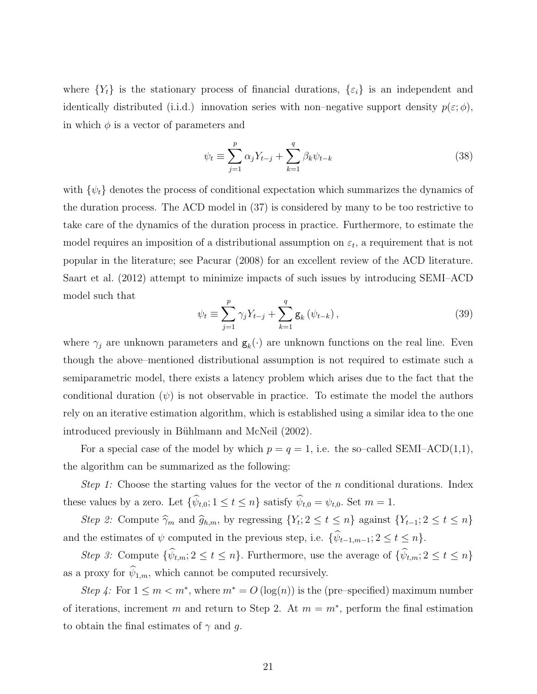where  ${Y<sub>t</sub>}$  is the stationary process of financial durations,  ${\epsilon_i}$  is an independent and identically distributed (i.i.d.) innovation series with non–negative support density  $p(\varepsilon; \phi)$ , in which  $\phi$  is a vector of parameters and

$$
\psi_t \equiv \sum_{j=1}^p \alpha_j Y_{t-j} + \sum_{k=1}^q \beta_k \psi_{t-k}
$$
\n(38)

with  $\{\psi_t\}$  denotes the process of conditional expectation which summarizes the dynamics of the duration process. The ACD model in (37) is considered by many to be too restrictive to take care of the dynamics of the duration process in practice. Furthermore, to estimate the model requires an imposition of a distributional assumption on  $\varepsilon_t$ , a requirement that is not popular in the literature; see Pacurar (2008) for an excellent review of the ACD literature. Saart et al. (2012) attempt to minimize impacts of such issues by introducing SEMI–ACD model such that

$$
\psi_t \equiv \sum_{j=1}^p \gamma_j Y_{t-j} + \sum_{k=1}^q \mathbf{g}_k (\psi_{t-k}), \qquad (39)
$$

where  $\gamma_j$  are unknown parameters and  $\mathbf{g}_k(\cdot)$  are unknown functions on the real line. Even though the above–mentioned distributional assumption is not required to estimate such a semiparametric model, there exists a latency problem which arises due to the fact that the conditional duration  $(\psi)$  is not observable in practice. To estimate the model the authors rely on an iterative estimation algorithm, which is established using a similar idea to the one introduced previously in Bühlmann and McNeil (2002).

For a special case of the model by which  $p = q = 1$ , i.e. the so-called SEMI-ACD(1,1), the algorithm can be summarized as the following:

Step 1: Choose the starting values for the vector of the n conditional durations. Index these values by a zero. Let  $\{\hat{\psi}_{t,0}; 1 \le t \le n\}$  satisfy  $\hat{\psi}_{t,0} = \psi_{t,0}$ . Set  $m = 1$ .

Step 2: Compute  $\widehat{\gamma}_m$  and  $\widehat{g}_{h,m}$ , by regressing  $\{Y_t; 2 \le t \le n\}$  against  $\{Y_{t-1}; 2 \le t \le n\}$ and the estimates of  $\psi$  computed in the previous step, i.e.  $\{\widehat{\psi}_{t-1,m-1}; 2 \leq t \leq n\}.$ 

Step 3: Compute  $\{\hat{\psi}_{t,m}: 2 \leq t \leq n\}$ . Furthermore, use the average of  $\{\hat{\psi}_{t,m}: 2 \leq t \leq n\}$ as a proxy for  $\widehat{\psi}_{1,m},$  which cannot be computed recursively.

Step 4: For  $1 \leq m < m^*$ , where  $m^* = O(\log(n))$  is the (pre–specified) maximum number of iterations, increment m and return to Step 2. At  $m = m^*$ , perform the final estimation to obtain the final estimates of  $\gamma$  and g.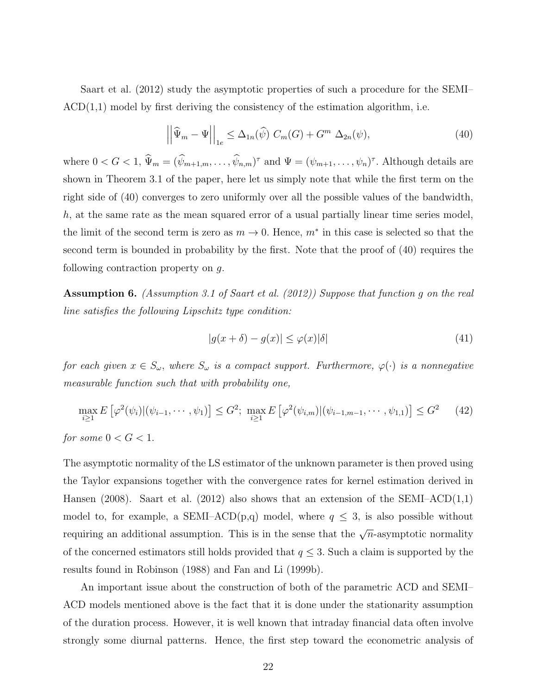Saart et al. (2012) study the asymptotic properties of such a procedure for the SEMI–  $ACD(1,1)$  model by first deriving the consistency of the estimation algorithm, i.e.

$$
\left| \left| \widehat{\Psi}_m - \Psi \right| \right|_{1e} \leq \Delta_{1n}(\widehat{\psi}) \ C_m(G) + G^m \ \Delta_{2n}(\psi), \tag{40}
$$

where  $0 < G < 1$ ,  $\hat{\Psi}_m = (\hat{\psi}_{m+1,m}, \dots, \hat{\psi}_{n,m})^{\tau}$  and  $\Psi = (\psi_{m+1}, \dots, \psi_n)^{\tau}$ . Although details are shown in Theorem 3.1 of the paper, here let us simply note that while the first term on the right side of (40) converges to zero uniformly over all the possible values of the bandwidth, h, at the same rate as the mean squared error of a usual partially linear time series model, the limit of the second term is zero as  $m \to 0$ . Hence,  $m^*$  in this case is selected so that the second term is bounded in probability by the first. Note that the proof of (40) requires the following contraction property on g.

Assumption 6. (Assumption 3.1 of Saart et al. (2012)) Suppose that function g on the real line satisfies the following Lipschitz type condition:

$$
|g(x+\delta) - g(x)| \le \varphi(x)|\delta| \tag{41}
$$

for each given  $x \in S_\omega$ , where  $S_\omega$  is a compact support. Furthermore,  $\varphi(\cdot)$  is a nonnegative measurable function such that with probability one,

$$
\max_{i\geq 1} E\left[\varphi^2(\psi_i) | (\psi_{i-1}, \cdots, \psi_1) \right] \leq G^2; \max_{i\geq 1} E\left[\varphi^2(\psi_{i,m}) | (\psi_{i-1,m-1}, \cdots, \psi_{1,1})\right] \leq G^2 \quad (42)
$$
  
for some  $0 < G < 1$ .

The asymptotic normality of the LS estimator of the unknown parameter is then proved using the Taylor expansions together with the convergence rates for kernel estimation derived in Hansen (2008). Saart et al. (2012) also shows that an extension of the SEMI–ACD(1,1) model to, for example, a SEMI–ACD(p,q) model, where  $q \leq 3$ , is also possible without requiring an additional assumption. This is in the sense that the  $\sqrt{n}$ -asymptotic normality of the concerned estimators still holds provided that  $q \leq 3$ . Such a claim is supported by the results found in Robinson (1988) and Fan and Li (1999b).

An important issue about the construction of both of the parametric ACD and SEMI– ACD models mentioned above is the fact that it is done under the stationarity assumption of the duration process. However, it is well known that intraday financial data often involve strongly some diurnal patterns. Hence, the first step toward the econometric analysis of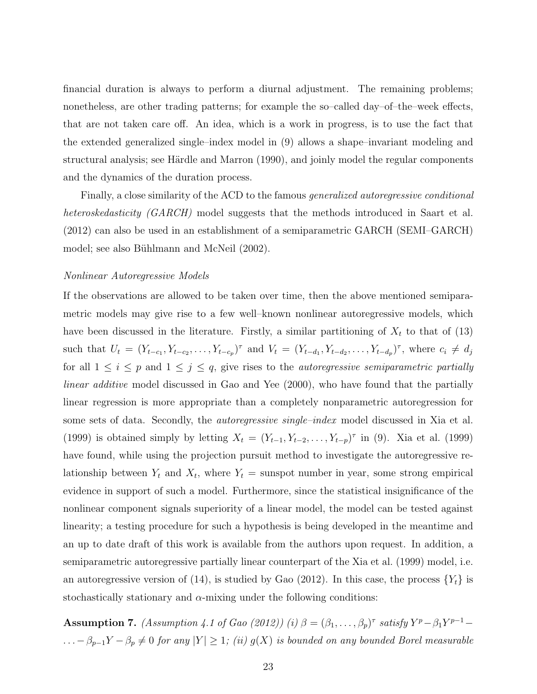financial duration is always to perform a diurnal adjustment. The remaining problems; nonetheless, are other trading patterns; for example the so–called day–of–the–week effects, that are not taken care off. An idea, which is a work in progress, is to use the fact that the extended generalized single–index model in (9) allows a shape–invariant modeling and structural analysis; see Härdle and Marron (1990), and joinly model the regular components and the dynamics of the duration process.

Finally, a close similarity of the ACD to the famous generalized autoregressive conditional heteroskedasticity (GARCH) model suggests that the methods introduced in Saart et al. (2012) can also be used in an establishment of a semiparametric GARCH (SEMI–GARCH) model; see also Bühlmann and McNeil (2002).

## Nonlinear Autoregressive Models

If the observations are allowed to be taken over time, then the above mentioned semiparametric models may give rise to a few well–known nonlinear autoregressive models, which have been discussed in the literature. Firstly, a similar partitioning of  $X_t$  to that of (13) such that  $U_t = (Y_{t-c_1}, Y_{t-c_2}, \ldots, Y_{t-c_p})^{\tau}$  and  $V_t = (Y_{t-d_1}, Y_{t-d_2}, \ldots, Y_{t-d_p})^{\tau}$ , where  $c_i \neq d_j$ for all  $1 \leq i \leq p$  and  $1 \leq j \leq q$ , give rises to the *autoregressive semiparametric partially* linear additive model discussed in Gao and Yee (2000), who have found that the partially linear regression is more appropriate than a completely nonparametric autoregression for some sets of data. Secondly, the *autoregressive single–index* model discussed in Xia et al. (1999) is obtained simply by letting  $X_t = (Y_{t-1}, Y_{t-2}, \ldots, Y_{t-p})^{\tau}$  in (9). Xia et al. (1999) have found, while using the projection pursuit method to investigate the autoregressive relationship between  $Y_t$  and  $X_t$ , where  $Y_t$  = sunspot number in year, some strong empirical evidence in support of such a model. Furthermore, since the statistical insignificance of the nonlinear component signals superiority of a linear model, the model can be tested against linearity; a testing procedure for such a hypothesis is being developed in the meantime and an up to date draft of this work is available from the authors upon request. In addition, a semiparametric autoregressive partially linear counterpart of the Xia et al. (1999) model, i.e. an autoregressive version of (14), is studied by Gao (2012). In this case, the process  $\{Y_t\}$  is stochastically stationary and  $\alpha$ -mixing under the following conditions:

**Assumption 7.** (Assumption 4.1 of Gao (2012)) (i)  $\beta = (\beta_1, \dots, \beta_p)^{\tau}$  satisfy  $Y^p - \beta_1 Y^{p-1} \ldots - \beta_{p-1}Y - \beta_p \neq 0$  for any  $|Y| \geq 1$ ; (ii)  $g(X)$  is bounded on any bounded Borel measurable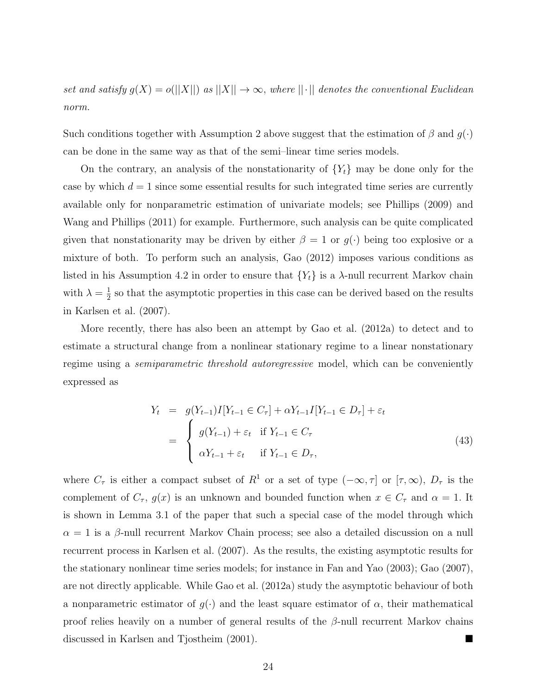set and satisfy  $g(X) = o(||X||)$  as  $||X|| \to \infty$ , where  $||\cdot||$  denotes the conventional Euclidean norm.

Such conditions together with Assumption 2 above suggest that the estimation of  $\beta$  and  $g(\cdot)$ can be done in the same way as that of the semi–linear time series models.

On the contrary, an analysis of the nonstationarity of  ${Y<sub>t</sub>}$  may be done only for the case by which  $d = 1$  since some essential results for such integrated time series are currently available only for nonparametric estimation of univariate models; see Phillips (2009) and Wang and Phillips (2011) for example. Furthermore, such analysis can be quite complicated given that nonstationarity may be driven by either  $\beta = 1$  or  $g(\cdot)$  being too explosive or a mixture of both. To perform such an analysis, Gao (2012) imposes various conditions as listed in his Assumption 4.2 in order to ensure that  ${Y<sub>t</sub>}$  is a  $\lambda$ -null recurrent Markov chain with  $\lambda = \frac{1}{2}$  $\frac{1}{2}$  so that the asymptotic properties in this case can be derived based on the results in Karlsen et al. (2007).

More recently, there has also been an attempt by Gao et al. (2012a) to detect and to estimate a structural change from a nonlinear stationary regime to a linear nonstationary regime using a *semiparametric threshold autoregressive* model, which can be conveniently expressed as

$$
Y_t = g(Y_{t-1})I[Y_{t-1} \in C_{\tau}] + \alpha Y_{t-1}I[Y_{t-1} \in D_{\tau}] + \varepsilon_t
$$
  
= 
$$
\begin{cases} g(Y_{t-1}) + \varepsilon_t & \text{if } Y_{t-1} \in C_{\tau} \\ \alpha Y_{t-1} + \varepsilon_t & \text{if } Y_{t-1} \in D_{\tau}, \end{cases}
$$
(43)

where  $C_{\tau}$  is either a compact subset of  $R^1$  or a set of type  $(-\infty, \tau]$  or  $[\tau, \infty)$ ,  $D_{\tau}$  is the complement of  $C_{\tau}$ ,  $g(x)$  is an unknown and bounded function when  $x \in C_{\tau}$  and  $\alpha = 1$ . It is shown in Lemma 3.1 of the paper that such a special case of the model through which  $\alpha = 1$  is a  $\beta$ -null recurrent Markov Chain process; see also a detailed discussion on a null recurrent process in Karlsen et al. (2007). As the results, the existing asymptotic results for the stationary nonlinear time series models; for instance in Fan and Yao (2003); Gao (2007), are not directly applicable. While Gao et al. (2012a) study the asymptotic behaviour of both a nonparametric estimator of  $g(\cdot)$  and the least square estimator of  $\alpha$ , their mathematical proof relies heavily on a number of general results of the  $\beta$ -null recurrent Markov chains discussed in Karlsen and Tjostheim (2001).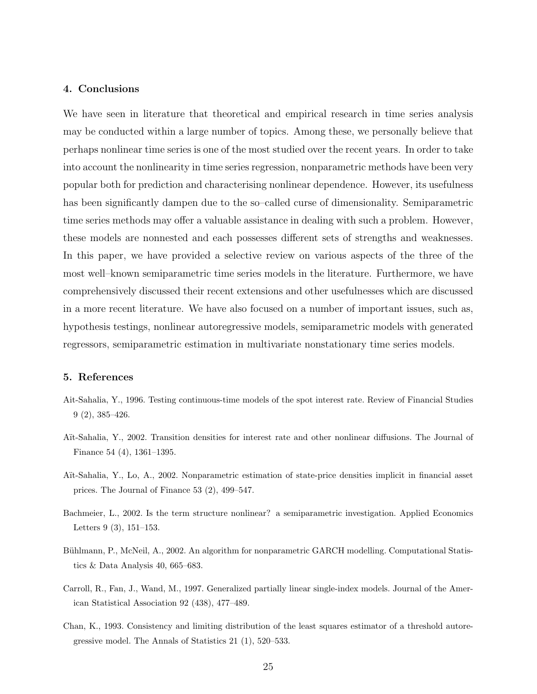## 4. Conclusions

We have seen in literature that theoretical and empirical research in time series analysis may be conducted within a large number of topics. Among these, we personally believe that perhaps nonlinear time series is one of the most studied over the recent years. In order to take into account the nonlinearity in time series regression, nonparametric methods have been very popular both for prediction and characterising nonlinear dependence. However, its usefulness has been significantly dampen due to the so–called curse of dimensionality. Semiparametric time series methods may offer a valuable assistance in dealing with such a problem. However, these models are nonnested and each possesses different sets of strengths and weaknesses. In this paper, we have provided a selective review on various aspects of the three of the most well–known semiparametric time series models in the literature. Furthermore, we have comprehensively discussed their recent extensions and other usefulnesses which are discussed in a more recent literature. We have also focused on a number of important issues, such as, hypothesis testings, nonlinear autoregressive models, semiparametric models with generated regressors, semiparametric estimation in multivariate nonstationary time series models.

#### 5. References

- Ait-Sahalia, Y., 1996. Testing continuous-time models of the spot interest rate. Review of Financial Studies 9 (2), 385–426.
- A¨ıt-Sahalia, Y., 2002. Transition densities for interest rate and other nonlinear diffusions. The Journal of Finance 54 (4), 1361–1395.
- A¨ıt-Sahalia, Y., Lo, A., 2002. Nonparametric estimation of state-price densities implicit in financial asset prices. The Journal of Finance 53 (2), 499–547.
- Bachmeier, L., 2002. Is the term structure nonlinear? a semiparametric investigation. Applied Economics Letters 9 (3), 151–153.
- Bühlmann, P., McNeil, A., 2002. An algorithm for nonparametric GARCH modelling. Computational Statistics & Data Analysis 40, 665–683.
- Carroll, R., Fan, J., Wand, M., 1997. Generalized partially linear single-index models. Journal of the American Statistical Association 92 (438), 477–489.
- Chan, K., 1993. Consistency and limiting distribution of the least squares estimator of a threshold autoregressive model. The Annals of Statistics 21 (1), 520–533.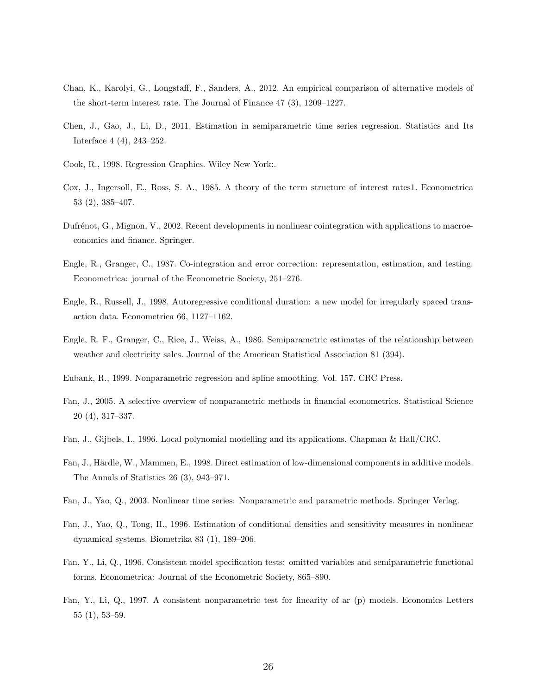- Chan, K., Karolyi, G., Longstaff, F., Sanders, A., 2012. An empirical comparison of alternative models of the short-term interest rate. The Journal of Finance 47 (3), 1209–1227.
- Chen, J., Gao, J., Li, D., 2011. Estimation in semiparametric time series regression. Statistics and Its Interface 4 (4), 243–252.
- Cook, R., 1998. Regression Graphics. Wiley New York:.
- Cox, J., Ingersoll, E., Ross, S. A., 1985. A theory of the term structure of interest rates1. Econometrica 53 (2), 385–407.
- Dufrénot, G., Mignon, V., 2002. Recent developments in nonlinear cointegration with applications to macroeconomics and finance. Springer.
- Engle, R., Granger, C., 1987. Co-integration and error correction: representation, estimation, and testing. Econometrica: journal of the Econometric Society, 251–276.
- Engle, R., Russell, J., 1998. Autoregressive conditional duration: a new model for irregularly spaced transaction data. Econometrica 66, 1127–1162.
- Engle, R. F., Granger, C., Rice, J., Weiss, A., 1986. Semiparametric estimates of the relationship between weather and electricity sales. Journal of the American Statistical Association 81 (394).
- Eubank, R., 1999. Nonparametric regression and spline smoothing. Vol. 157. CRC Press.
- Fan, J., 2005. A selective overview of nonparametric methods in financial econometrics. Statistical Science 20 (4), 317–337.
- Fan, J., Gijbels, I., 1996. Local polynomial modelling and its applications. Chapman & Hall/CRC.
- Fan, J., Härdle, W., Mammen, E., 1998. Direct estimation of low-dimensional components in additive models. The Annals of Statistics 26 (3), 943–971.
- Fan, J., Yao, Q., 2003. Nonlinear time series: Nonparametric and parametric methods. Springer Verlag.
- Fan, J., Yao, Q., Tong, H., 1996. Estimation of conditional densities and sensitivity measures in nonlinear dynamical systems. Biometrika 83 (1), 189–206.
- Fan, Y., Li, Q., 1996. Consistent model specification tests: omitted variables and semiparametric functional forms. Econometrica: Journal of the Econometric Society, 865–890.
- Fan, Y., Li, Q., 1997. A consistent nonparametric test for linearity of ar (p) models. Economics Letters 55 (1), 53–59.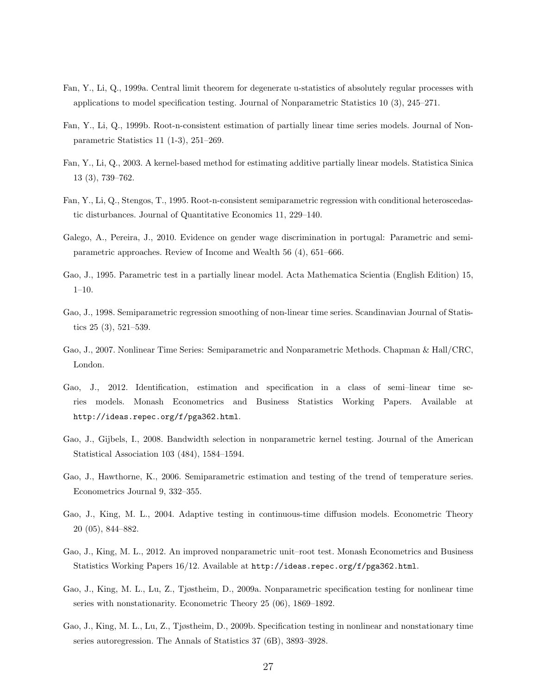- Fan, Y., Li, Q., 1999a. Central limit theorem for degenerate u-statistics of absolutely regular processes with applications to model specification testing. Journal of Nonparametric Statistics 10 (3), 245–271.
- Fan, Y., Li, Q., 1999b. Root-n-consistent estimation of partially linear time series models. Journal of Nonparametric Statistics 11 (1-3), 251–269.
- Fan, Y., Li, Q., 2003. A kernel-based method for estimating additive partially linear models. Statistica Sinica 13 (3), 739–762.
- Fan, Y., Li, Q., Stengos, T., 1995. Root-n-consistent semiparametric regression with conditional heteroscedastic disturbances. Journal of Quantitative Economics 11, 229–140.
- Galego, A., Pereira, J., 2010. Evidence on gender wage discrimination in portugal: Parametric and semiparametric approaches. Review of Income and Wealth 56 (4), 651–666.
- Gao, J., 1995. Parametric test in a partially linear model. Acta Mathematica Scientia (English Edition) 15, 1–10.
- Gao, J., 1998. Semiparametric regression smoothing of non-linear time series. Scandinavian Journal of Statistics 25 (3), 521–539.
- Gao, J., 2007. Nonlinear Time Series: Semiparametric and Nonparametric Methods. Chapman & Hall/CRC, London.
- Gao, J., 2012. Identification, estimation and specification in a class of semi–linear time series models. Monash Econometrics and Business Statistics Working Papers. Available at http://ideas.repec.org/f/pga362.html.
- Gao, J., Gijbels, I., 2008. Bandwidth selection in nonparametric kernel testing. Journal of the American Statistical Association 103 (484), 1584–1594.
- Gao, J., Hawthorne, K., 2006. Semiparametric estimation and testing of the trend of temperature series. Econometrics Journal 9, 332–355.
- Gao, J., King, M. L., 2004. Adaptive testing in continuous-time diffusion models. Econometric Theory 20 (05), 844–882.
- Gao, J., King, M. L., 2012. An improved nonparametric unit–root test. Monash Econometrics and Business Statistics Working Papers 16/12. Available at http://ideas.repec.org/f/pga362.html.
- Gao, J., King, M. L., Lu, Z., Tjøstheim, D., 2009a. Nonparametric specification testing for nonlinear time series with nonstationarity. Econometric Theory 25 (06), 1869–1892.
- Gao, J., King, M. L., Lu, Z., Tjøstheim, D., 2009b. Specification testing in nonlinear and nonstationary time series autoregression. The Annals of Statistics 37 (6B), 3893–3928.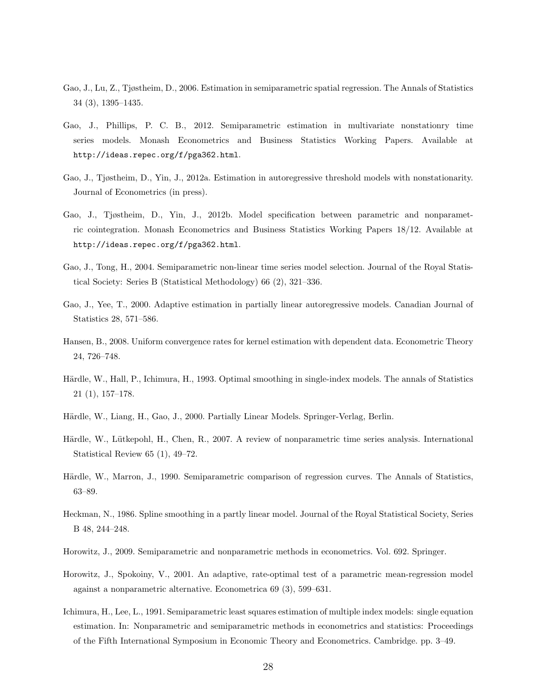- Gao, J., Lu, Z., Tjøstheim, D., 2006. Estimation in semiparametric spatial regression. The Annals of Statistics 34 (3), 1395–1435.
- Gao, J., Phillips, P. C. B., 2012. Semiparametric estimation in multivariate nonstationry time series models. Monash Econometrics and Business Statistics Working Papers. Available at http://ideas.repec.org/f/pga362.html.
- Gao, J., Tjøstheim, D., Yin, J., 2012a. Estimation in autoregressive threshold models with nonstationarity. Journal of Econometrics (in press).
- Gao, J., Tjøstheim, D., Yin, J., 2012b. Model specification between parametric and nonparametric cointegration. Monash Econometrics and Business Statistics Working Papers 18/12. Available at http://ideas.repec.org/f/pga362.html.
- Gao, J., Tong, H., 2004. Semiparametric non-linear time series model selection. Journal of the Royal Statistical Society: Series B (Statistical Methodology) 66 (2), 321–336.
- Gao, J., Yee, T., 2000. Adaptive estimation in partially linear autoregressive models. Canadian Journal of Statistics 28, 571–586.
- Hansen, B., 2008. Uniform convergence rates for kernel estimation with dependent data. Econometric Theory 24, 726–748.
- Härdle, W., Hall, P., Ichimura, H., 1993. Optimal smoothing in single-index models. The annals of Statistics 21 (1), 157–178.
- Härdle, W., Liang, H., Gao, J., 2000. Partially Linear Models. Springer-Verlag, Berlin.
- Härdle, W., Lütkepohl, H., Chen, R., 2007. A review of nonparametric time series analysis. International Statistical Review 65 (1), 49–72.
- Härdle, W., Marron, J., 1990. Semiparametric comparison of regression curves. The Annals of Statistics, 63–89.
- Heckman, N., 1986. Spline smoothing in a partly linear model. Journal of the Royal Statistical Society, Series B 48, 244–248.
- Horowitz, J., 2009. Semiparametric and nonparametric methods in econometrics. Vol. 692. Springer.
- Horowitz, J., Spokoiny, V., 2001. An adaptive, rate-optimal test of a parametric mean-regression model against a nonparametric alternative. Econometrica 69 (3), 599–631.
- Ichimura, H., Lee, L., 1991. Semiparametric least squares estimation of multiple index models: single equation estimation. In: Nonparametric and semiparametric methods in econometrics and statistics: Proceedings of the Fifth International Symposium in Economic Theory and Econometrics. Cambridge. pp. 3–49.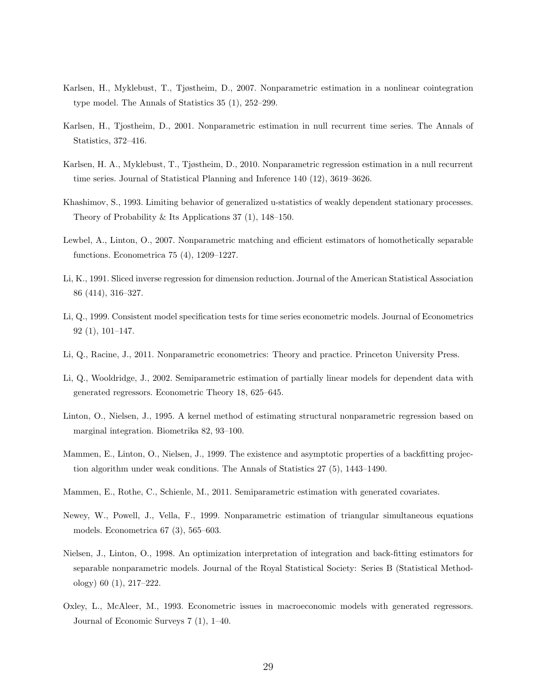- Karlsen, H., Myklebust, T., Tjøstheim, D., 2007. Nonparametric estimation in a nonlinear cointegration type model. The Annals of Statistics 35 (1), 252–299.
- Karlsen, H., Tjostheim, D., 2001. Nonparametric estimation in null recurrent time series. The Annals of Statistics, 372–416.
- Karlsen, H. A., Myklebust, T., Tjøstheim, D., 2010. Nonparametric regression estimation in a null recurrent time series. Journal of Statistical Planning and Inference 140 (12), 3619–3626.
- Khashimov, S., 1993. Limiting behavior of generalized u-statistics of weakly dependent stationary processes. Theory of Probability & Its Applications 37 (1), 148–150.
- Lewbel, A., Linton, O., 2007. Nonparametric matching and efficient estimators of homothetically separable functions. Econometrica 75 (4), 1209–1227.
- Li, K., 1991. Sliced inverse regression for dimension reduction. Journal of the American Statistical Association 86 (414), 316–327.
- Li, Q., 1999. Consistent model specification tests for time series econometric models. Journal of Econometrics 92 (1), 101–147.
- Li, Q., Racine, J., 2011. Nonparametric econometrics: Theory and practice. Princeton University Press.
- Li, Q., Wooldridge, J., 2002. Semiparametric estimation of partially linear models for dependent data with generated regressors. Econometric Theory 18, 625–645.
- Linton, O., Nielsen, J., 1995. A kernel method of estimating structural nonparametric regression based on marginal integration. Biometrika 82, 93–100.
- Mammen, E., Linton, O., Nielsen, J., 1999. The existence and asymptotic properties of a backfitting projection algorithm under weak conditions. The Annals of Statistics 27 (5), 1443–1490.
- Mammen, E., Rothe, C., Schienle, M., 2011. Semiparametric estimation with generated covariates.
- Newey, W., Powell, J., Vella, F., 1999. Nonparametric estimation of triangular simultaneous equations models. Econometrica 67 (3), 565–603.
- Nielsen, J., Linton, O., 1998. An optimization interpretation of integration and back-fitting estimators for separable nonparametric models. Journal of the Royal Statistical Society: Series B (Statistical Methodology) 60 (1), 217–222.
- Oxley, L., McAleer, M., 1993. Econometric issues in macroeconomic models with generated regressors. Journal of Economic Surveys 7 (1), 1–40.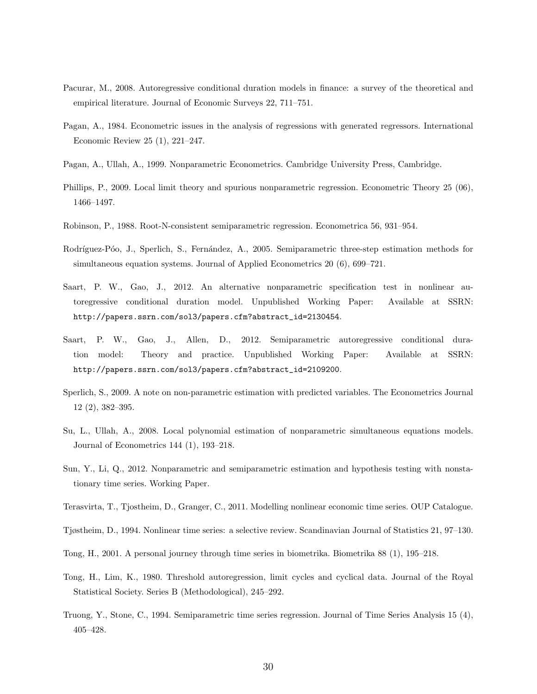- Pacurar, M., 2008. Autoregressive conditional duration models in finance: a survey of the theoretical and empirical literature. Journal of Economic Surveys 22, 711–751.
- Pagan, A., 1984. Econometric issues in the analysis of regressions with generated regressors. International Economic Review 25 (1), 221–247.
- Pagan, A., Ullah, A., 1999. Nonparametric Econometrics. Cambridge University Press, Cambridge.
- Phillips, P., 2009. Local limit theory and spurious nonparametric regression. Econometric Theory 25 (06), 1466–1497.
- Robinson, P., 1988. Root-N-consistent semiparametric regression. Econometrica 56, 931–954.
- Rodríguez-Póo, J., Sperlich, S., Fernández, A., 2005. Semiparametric three-step estimation methods for simultaneous equation systems. Journal of Applied Econometrics 20 (6), 699–721.
- Saart, P. W., Gao, J., 2012. An alternative nonparametric specification test in nonlinear autoregressive conditional duration model. Unpublished Working Paper: Available at SSRN: http://papers.ssrn.com/sol3/papers.cfm?abstract\_id=2130454.
- Saart, P. W., Gao, J., Allen, D., 2012. Semiparametric autoregressive conditional duration model: Theory and practice. Unpublished Working Paper: Available at SSRN: http://papers.ssrn.com/sol3/papers.cfm?abstract\_id=2109200.
- Sperlich, S., 2009. A note on non-parametric estimation with predicted variables. The Econometrics Journal 12 (2), 382–395.
- Su, L., Ullah, A., 2008. Local polynomial estimation of nonparametric simultaneous equations models. Journal of Econometrics 144 (1), 193–218.
- Sun, Y., Li, Q., 2012. Nonparametric and semiparametric estimation and hypothesis testing with nonstationary time series. Working Paper.
- Terasvirta, T., Tjostheim, D., Granger, C., 2011. Modelling nonlinear economic time series. OUP Catalogue.
- Tjøstheim, D., 1994. Nonlinear time series: a selective review. Scandinavian Journal of Statistics 21, 97–130.
- Tong, H., 2001. A personal journey through time series in biometrika. Biometrika 88 (1), 195–218.
- Tong, H., Lim, K., 1980. Threshold autoregression, limit cycles and cyclical data. Journal of the Royal Statistical Society. Series B (Methodological), 245–292.
- Truong, Y., Stone, C., 1994. Semiparametric time series regression. Journal of Time Series Analysis 15 (4), 405–428.